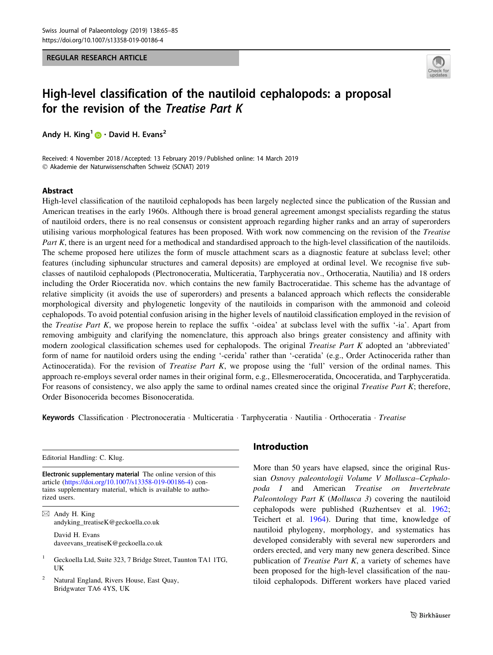#### REGULAR RESEARCH ARTICLE



# High-level classification of the nautiloid cephalopods: a proposal for the revision of the Treatise Part K

Andy H. King<sup>1</sup>  $\bullet$  · David H. Evans<sup>2</sup>

Received: 4 November 2018 / Accepted: 13 February 2019 / Published online: 14 March 2019 - Akademie der Naturwissenschaften Schweiz (SCNAT) 2019

#### Abstract

High-level classification of the nautiloid cephalopods has been largely neglected since the publication of the Russian and American treatises in the early 1960s. Although there is broad general agreement amongst specialists regarding the status of nautiloid orders, there is no real consensus or consistent approach regarding higher ranks and an array of superorders utilising various morphological features has been proposed. With work now commencing on the revision of the Treatise Part K, there is an urgent need for a methodical and standardised approach to the high-level classification of the nautiloids. The scheme proposed here utilizes the form of muscle attachment scars as a diagnostic feature at subclass level; other features (including siphuncular structures and cameral deposits) are employed at ordinal level. We recognise five subclasses of nautiloid cephalopods (Plectronoceratia, Multiceratia, Tarphyceratia nov., Orthoceratia, Nautilia) and 18 orders including the Order Rioceratida nov. which contains the new family Bactroceratidae. This scheme has the advantage of relative simplicity (it avoids the use of superorders) and presents a balanced approach which reflects the considerable morphological diversity and phylogenetic longevity of the nautiloids in comparison with the ammonoid and coleoid cephalopods. To avoid potential confusion arising in the higher levels of nautiloid classification employed in the revision of the Treatise Part K, we propose herein to replace the suffix '-oidea' at subclass level with the suffix '-ia'. Apart from removing ambiguity and clarifying the nomenclature, this approach also brings greater consistency and affinity with modern zoological classification schemes used for cephalopods. The original Treatise Part K adopted an 'abbreviated' form of name for nautiloid orders using the ending '-cerida' rather than '-ceratida' (e.g., Order Actinocerida rather than Actinoceratida). For the revision of *Treatise Part K*, we propose using the 'full' version of the ordinal names. This approach re-employs several order names in their original form, e.g., Ellesmeroceratida, Oncoceratida, and Tarphyceratida. For reasons of consistency, we also apply the same to ordinal names created since the original *Treatise Part K*; therefore, Order Bisonocerida becomes Bisonoceratida.

Keywords Classification · Plectronoceratia · Multiceratia · Tarphyceratia · Nautilia · Orthoceratia · Treatise

Editorial Handling: C. Klug.

Electronic supplementary material The online version of this article [\(https://doi.org/10.1007/s13358-019-00186-4](https://doi.org/10.1007/s13358-019-00186-4)) contains supplementary material, which is available to authorized users.

 $\boxtimes$  Andy H. King andyking\_treatiseK@geckoella.co.uk David H. Evans

daveevans\_treatiseK@geckoella.co.uk

- <sup>1</sup> Geckoella Ltd, Suite 323, 7 Bridge Street, Taunton TA1 1TG, UK
- <sup>2</sup> Natural England, Rivers House, East Quay, Bridgwater TA6 4YS, UK

## Introduction

More than 50 years have elapsed, since the original Russian Osnovy paleontologii Volume V Mollusca–Cephalopoda I and American Treatise on Invertebrate Paleontology Part  $K$  (Mollusca 3) covering the nautiloid cephalopods were published (Ruzhentsev et al. [1962](#page-19-0); Teichert et al. [1964\)](#page-19-0). During that time, knowledge of nautiloid phylogeny, morphology, and systematics has developed considerably with several new superorders and orders erected, and very many new genera described. Since publication of *Treatise Part K*, a variety of schemes have been proposed for the high-level classification of the nautiloid cephalopods. Different workers have placed varied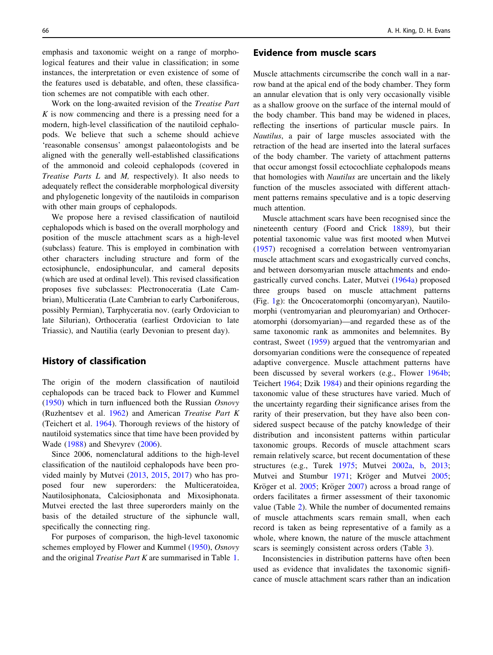emphasis and taxonomic weight on a range of morphological features and their value in classification; in some instances, the interpretation or even existence of some of the features used is debatable, and often, these classification schemes are not compatible with each other.

Work on the long-awaited revision of the Treatise Part  $K$  is now commencing and there is a pressing need for a modern, high-level classification of the nautiloid cephalopods. We believe that such a scheme should achieve 'reasonable consensus' amongst palaeontologists and be aligned with the generally well-established classifications of the ammonoid and coleoid cephalopods (covered in Treatise Parts L and M, respectively). It also needs to adequately reflect the considerable morphological diversity and phylogenetic longevity of the nautiloids in comparison with other main groups of cephalopods.

We propose here a revised classification of nautiloid cephalopods which is based on the overall morphology and position of the muscle attachment scars as a high-level (subclass) feature. This is employed in combination with other characters including structure and form of the ectosiphuncle, endosiphuncular, and cameral deposits (which are used at ordinal level). This revised classification proposes five subclasses: Plectronoceratia (Late Cambrian), Multiceratia (Late Cambrian to early Carboniferous, possibly Permian), Tarphyceratia nov. (early Ordovician to late Silurian), Orthoceratia (earliest Ordovician to late Triassic), and Nautilia (early Devonian to present day).

## History of classification

The origin of the modern classification of nautiloid cephalopods can be traced back to Flower and Kummel  $(1950)$  $(1950)$  which in turn influenced both the Russian Osnovy (Ruzhentsev et al. [1962\)](#page-19-0) and American Treatise Part K (Teichert et al. [1964](#page-19-0)). Thorough reviews of the history of nautiloid systematics since that time have been provided by Wade [\(1988](#page-19-0)) and Shevyrev ([2006\)](#page-19-0).

Since 2006, nomenclatural additions to the high-level classification of the nautiloid cephalopods have been provided mainly by Mutvei ([2013,](#page-18-0) [2015,](#page-18-0) [2017\)](#page-18-0) who has proposed four new superorders: the Multiceratoidea, Nautilosiphonata, Calciosiphonata and Mixosiphonata. Mutvei erected the last three superorders mainly on the basis of the detailed structure of the siphuncle wall, specifically the connecting ring.

For purposes of comparison, the high-level taxonomic schemes employed by Flower and Kummel ([1950\)](#page-17-0), Osnovy and the original Treatise Part K are summarised in Table [1.](#page-2-0)

#### 66 A. H. King, D. H. Evans

#### Evidence from muscle scars

Muscle attachments circumscribe the conch wall in a narrow band at the apical end of the body chamber. They form an annular elevation that is only very occasionally visible as a shallow groove on the surface of the internal mould of the body chamber. This band may be widened in places, reflecting the insertions of particular muscle pairs. In Nautilus, a pair of large muscles associated with the retraction of the head are inserted into the lateral surfaces of the body chamber. The variety of attachment patterns that occur amongst fossil ectocochliate cephalopods means that homologies with Nautilus are uncertain and the likely function of the muscles associated with different attachment patterns remains speculative and is a topic deserving much attention.

Muscle attachment scars have been recognised since the nineteenth century (Foord and Crick [1889](#page-17-0)), but their potential taxonomic value was first mooted when Mutvei [\(1957](#page-18-0)) recognised a correlation between ventromyarian muscle attachment scars and exogastrically curved conchs, and between dorsomyarian muscle attachments and endogastrically curved conchs. Later, Mutvei ([1964a](#page-18-0)) proposed three groups based on muscle attachment patterns (Fig. [1g](#page-3-0)): the Oncoceratomorphi (oncomyaryan), Nautilomorphi (ventromyarian and pleuromyarian) and Orthoceratomorphi (dorsomyarian)—and regarded these as of the same taxonomic rank as ammonites and belemnites. By contrast, Sweet [\(1959](#page-19-0)) argued that the ventromyarian and dorsomyarian conditions were the consequence of repeated adaptive convergence. Muscle attachment patterns have been discussed by several workers (e.g., Flower [1964b](#page-17-0); Teichert [1964](#page-19-0); Dzik [1984\)](#page-16-0) and their opinions regarding the taxonomic value of these structures have varied. Much of the uncertainty regarding their significance arises from the rarity of their preservation, but they have also been considered suspect because of the patchy knowledge of their distribution and inconsistent patterns within particular taxonomic groups. Records of muscle attachment scars remain relatively scarce, but recent documentation of these structures (e.g., Turek [1975;](#page-19-0) Mutvei [2002a](#page-18-0), [b](#page-18-0), [2013](#page-18-0); Mutvei and Stumbur [1971](#page-18-0); Kröger and Mutvei [2005](#page-18-0); Kröger et al. [2005](#page-17-0); Kröger [2007](#page-17-0)) across a broad range of orders facilitates a firmer assessment of their taxonomic value (Table [2](#page-4-0)). While the number of documented remains of muscle attachments scars remain small, when each record is taken as being representative of a family as a whole, where known, the nature of the muscle attachment scars is seemingly consistent across orders (Table [3](#page-5-0)).

Inconsistencies in distribution patterns have often been used as evidence that invalidates the taxonomic significance of muscle attachment scars rather than an indication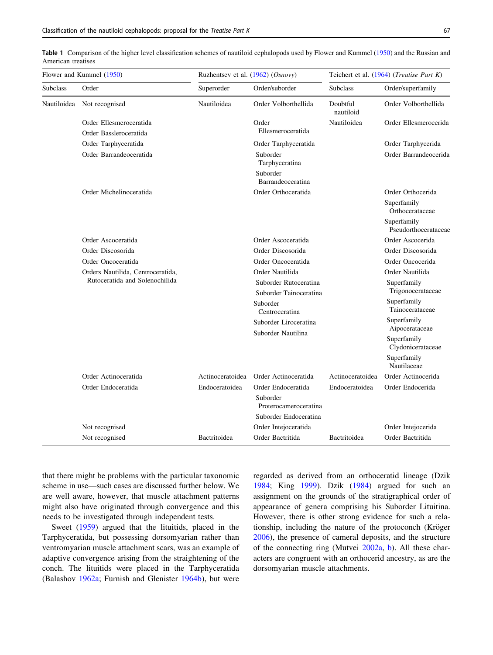| Flower and Kummel (1950) |                                   | Ruzhentsev et al. $(1962)$ (Osnovy) |                                                                                  | Teichert et al. $(1964)$ ( <i>Treatise Part K</i> ) |                                     |
|--------------------------|-----------------------------------|-------------------------------------|----------------------------------------------------------------------------------|-----------------------------------------------------|-------------------------------------|
| Subclass                 | Order                             | Superorder                          | Order/suborder                                                                   | Subclass                                            | Order/superfamily                   |
|                          | Nautiloidea Not recognised        | Nautiloidea                         | Order Volborthellida                                                             | Doubtful<br>nautiloid                               | Order Volborthellida                |
|                          | Order Ellesmeroceratida           |                                     | Order                                                                            | Nautiloidea                                         | Order Ellesmerocerida               |
|                          | Order Bassleroceratida            |                                     | Ellesmeroceratida                                                                |                                                     |                                     |
|                          | Order Tarphyceratida              |                                     | Order Tarphyceratida                                                             |                                                     | Order Tarphycerida                  |
|                          | Order Barrandeoceratida           |                                     | Suborder<br>Tarphyceratina                                                       |                                                     | Order Barrandeocerida               |
|                          |                                   |                                     | Suborder<br>Barrandeoceratina                                                    |                                                     |                                     |
|                          | Order Michelinoceratida           |                                     | Order Orthoceratida                                                              |                                                     | Order Orthocerida                   |
|                          |                                   |                                     |                                                                                  |                                                     | Superfamily<br>Orthocerataceae      |
|                          |                                   |                                     |                                                                                  |                                                     | Superfamily<br>Pseudorthocerataceae |
|                          | Order Ascoceratida                |                                     | Order Ascoceratida                                                               |                                                     | Order Ascocerida                    |
|                          | Order Discosorida                 |                                     | Order Discosorida                                                                |                                                     | Order Discosorida                   |
|                          | Order Oncoceratida                |                                     | Order Oncoceratida                                                               |                                                     | Order Oncocerida                    |
|                          | Orders Nautilida, Centroceratida, |                                     | Order Nautilida                                                                  |                                                     | Order Nautilida                     |
|                          | Rutoceratida and Solenochilida    |                                     | Suborder Rutoceratina<br>Suborder Tainoceratina                                  |                                                     | Superfamily<br>Trigonocerataceae    |
|                          |                                   |                                     | Suborder<br>Centroceratina                                                       |                                                     | Superfamily<br>Tainocerataceae      |
|                          |                                   |                                     | Suborder Liroceratina                                                            |                                                     | Superfamily                         |
|                          |                                   |                                     | Suborder Nautilina                                                               |                                                     | Aipocerataceae                      |
|                          |                                   |                                     |                                                                                  |                                                     | Superfamily<br>Clydonicerataceae    |
|                          |                                   |                                     |                                                                                  |                                                     | Superfamily<br>Nautilaceae          |
|                          | Order Actinoceratida              | Actinoceratoidea                    | Order Actinoceratida                                                             | Actinoceratoidea                                    | Order Actinocerida                  |
|                          | Order Endoceratida                | Endoceratoidea                      | Order Endoceratida<br>Suborder<br>Proterocameroceratina<br>Suborder Endoceratina | Endoceratoidea                                      | Order Endocerida                    |
|                          | Not recognised                    |                                     | Order Intejoceratida                                                             |                                                     | Order Intejocerida                  |
|                          | Not recognised                    | Bactritoidea                        | Order Bactritida                                                                 | Bactritoidea                                        | Order Bactritida                    |

<span id="page-2-0"></span>Table 1 Comparison of the higher level classification schemes of nautiloid cephalopods used by Flower and Kummel ([1950\)](#page-17-0) and the Russian and American treatises

that there might be problems with the particular taxonomic scheme in use—such cases are discussed further below. We are well aware, however, that muscle attachment patterns might also have originated through convergence and this needs to be investigated through independent tests.

Sweet [\(1959](#page-19-0)) argued that the lituitids, placed in the Tarphyceratida, but possessing dorsomyarian rather than ventromyarian muscle attachment scars, was an example of adaptive convergence arising from the straightening of the conch. The lituitids were placed in the Tarphyceratida (Balashov [1962a;](#page-16-0) Furnish and Glenister [1964b\)](#page-17-0), but were regarded as derived from an orthoceratid lineage (Dzik [1984](#page-16-0); King [1999](#page-17-0)). Dzik ([1984\)](#page-16-0) argued for such an assignment on the grounds of the stratigraphical order of appearance of genera comprising his Suborder Lituitina. However, there is other strong evidence for such a relationship, including the nature of the protoconch (Kröger [2006](#page-17-0)), the presence of cameral deposits, and the structure of the connecting ring (Mutvei [2002a](#page-18-0), [b](#page-18-0)). All these characters are congruent with an orthocerid ancestry, as are the dorsomyarian muscle attachments.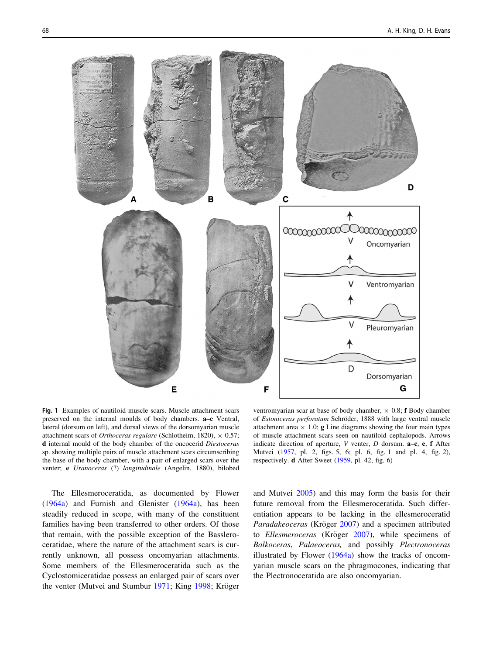<span id="page-3-0"></span>

Fig. 1 Examples of nautiloid muscle scars. Muscle attachment scars preserved on the internal moulds of body chambers. a–c Ventral, lateral (dorsum on left), and dorsal views of the dorsomyarian muscle attachment scars of Orthoceras regulare (Schlotheim, 1820),  $\times$  0.57; d internal mould of the body chamber of the oncocerid Diestoceras sp. showing multiple pairs of muscle attachment scars circumscribing the base of the body chamber, with a pair of enlarged scars over the venter; e Uranoceras (?) longitudinale (Angelin, 1880), bilobed

ventromyarian scar at base of body chamber,  $\times$  0.8; f Body chamber of Estoniceras perforatum Schröder, 1888 with large ventral muscle attachment area  $\times$  1.0; g Line diagrams showing the four main types of muscle attachment scars seen on nautiloid cephalopods. Arrows indicate direction of aperture,  $V$  venter,  $D$  dorsum.  $a-c$ ,  $e$ ,  $f$  After Mutvei ([1957,](#page-18-0) pl. 2, figs. 5, 6; pl. 6, fig. 1 and pl. 4, fig. 2), respectively. d After Sweet ([1959,](#page-19-0) pl. 42, fig. 6)

The Ellesmeroceratida, as documented by Flower  $(1964a)$  and Furnish and Glenister  $(1964a)$  $(1964a)$  $(1964a)$ , has been steadily reduced in scope, with many of the constituent families having been transferred to other orders. Of those that remain, with the possible exception of the Bassleroceratidae, where the nature of the attachment scars is currently unknown, all possess oncomyarian attachments. Some members of the Ellesmeroceratida such as the Cyclostomiceratidae possess an enlarged pair of scars over the venter (Mutvei and Stumbur [1971;](#page-18-0) King [1998;](#page-17-0) Kröger and Mutvei [2005](#page-18-0)) and this may form the basis for their future removal from the Ellesmeroceratida. Such differentiation appears to be lacking in the ellesmeroceratid Paradakeoceras (Kröger [2007\)](#page-17-0) and a specimen attributed to Ellesmeroceras (Kröger [2007\)](#page-17-0), while specimens of Balkoceras, Palaeoceras, and possibly Plectronoceras illustrated by Flower [\(1964a\)](#page-16-0) show the tracks of oncomyarian muscle scars on the phragmocones, indicating that the Plectronoceratida are also oncomyarian.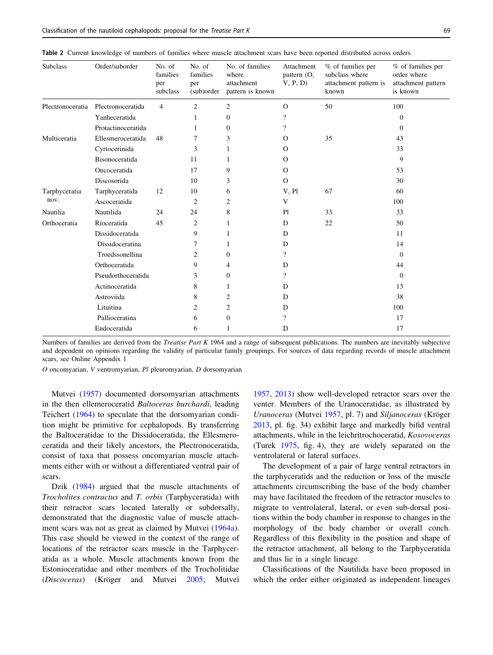<span id="page-4-0"></span>

|  | <b>Table 2</b> Current knowledge of numbers of families where muscle attachment scars have been reported distributed across orders |  |  |  |  |  |  |
|--|------------------------------------------------------------------------------------------------------------------------------------|--|--|--|--|--|--|
|--|------------------------------------------------------------------------------------------------------------------------------------|--|--|--|--|--|--|

| Subclass         | Order/suborder     | No. of<br>families<br>per<br>subclass | No. of<br>families<br>per<br>(sub)order | No. of families<br>where<br>attachment<br>pattern is known | Attachment<br>pattern (O,<br>V, P, D | % of families per<br>subclass where<br>attachment pattern is<br>known | % of families per<br>order where<br>attachment pattern<br>is known |
|------------------|--------------------|---------------------------------------|-----------------------------------------|------------------------------------------------------------|--------------------------------------|-----------------------------------------------------------------------|--------------------------------------------------------------------|
| Plectronoceratia | Plectronoceratida  | $\overline{4}$                        | $\overline{c}$                          | $\overline{2}$                                             | $\Omega$                             | 50                                                                    | 100                                                                |
|                  | Yanheceratida      |                                       | 1                                       | $\mathbf{0}$                                               | $\overline{\cdot}$                   |                                                                       | $\Omega$                                                           |
|                  | Protactinoceratida |                                       | 1                                       | $\mathbf{0}$                                               | $\overline{\cdot}$                   |                                                                       | $\Omega$                                                           |
| Multiceratia     | Ellesmeroceratida  | 48                                    | 7                                       | 3                                                          | $\Omega$                             | 35                                                                    | 43                                                                 |
|                  | Cyrtocerinida      |                                       | 3                                       |                                                            | $\Omega$                             |                                                                       | 33                                                                 |
|                  | Bisonoceratida     |                                       | 11                                      |                                                            | $\Omega$                             |                                                                       | 9                                                                  |
|                  | Oncoceratida       |                                       | 17                                      | 9                                                          | $\Omega$                             |                                                                       | 53                                                                 |
|                  | Discosorida        |                                       | 10                                      | 3                                                          | $\Omega$                             |                                                                       | 30                                                                 |
| Tarphyceratia    | Tarphyceratida     | 12                                    | 10                                      | 6                                                          | V, Pl                                | 67                                                                    | 60                                                                 |
| nov.             | Ascoceratida       |                                       | $\overline{c}$                          | 2                                                          | V                                    |                                                                       | 100                                                                |
| Nautilia         | Nautilida          | 24                                    | 24                                      | 8                                                          | P <sub>1</sub>                       | 33                                                                    | 33                                                                 |
| Orthoceratia     | Rioceratida        | 45                                    | $\overline{2}$                          | 1                                                          | D                                    | 22                                                                    | 50                                                                 |
|                  | Dissidoceratida    |                                       | 9                                       |                                                            | D                                    |                                                                       | 11                                                                 |
|                  | Dissidoceratina    |                                       | 7                                       |                                                            | D                                    |                                                                       | 14                                                                 |
|                  | Troedssonellina    |                                       | 2                                       | 0                                                          | $\overline{\mathcal{L}}$             |                                                                       | $\Omega$                                                           |
|                  | Orthoceratida      |                                       | 9                                       | 4                                                          | D                                    |                                                                       | 44                                                                 |
|                  | Pseudorthoceratida |                                       | 3                                       | 0                                                          | $\overline{\mathcal{L}}$             |                                                                       | $\Omega$                                                           |
|                  | Actinoceratida     |                                       | 8                                       |                                                            | D                                    |                                                                       | 13                                                                 |
|                  | Astroviida         |                                       | 8                                       | 2                                                          | D                                    |                                                                       | 38                                                                 |
|                  | Lituitina          |                                       | $\overline{c}$                          | $\overline{2}$                                             | D                                    |                                                                       | 100                                                                |
|                  | Pallioceratina     |                                       | 6                                       | $\mathbf{0}$                                               | $\overline{\mathcal{L}}$             |                                                                       | 17                                                                 |
|                  | Endoceratida       |                                       | 6                                       |                                                            | D                                    |                                                                       | 17                                                                 |

Numbers of families are derived from the *Treatise Part K* 1964 and a range of subsequent publications. The numbers are inevitably subjective and dependent on opinions regarding the validity of particular family groupings. For sources of data regarding records of muscle attachment scars, see Online Appendix 1

O oncomyarian, V ventromyarian, Pl pleuromyarian, D dorsomyarian

Mutvei [\(1957](#page-18-0)) documented dorsomyarian attachments in the then ellemeroceratid Baltoceras burchardi, leading Teichert [\(1964](#page-19-0)) to speculate that the dorsomyarian condition might be primitive for cephalopods. By transferring the Baltoceratidae to the Dissidoceratida, the Ellesmeroceratida and their likely ancestors, the Plectronoceratida, consist of taxa that possess oncomyarian muscle attachments either with or without a differentiated ventral pair of scars.

Dzik [\(1984](#page-16-0)) argued that the muscle attachments of Trocholites contractus and T. orbis (Tarphyceratida) with their retractor scars located laterally or subdorsally, demonstrated that the diagnostic value of muscle attachment scars was not as great as claimed by Mutvei ([1964a](#page-18-0)). This case should be viewed in the context of the range of locations of the retractor scars muscle in the Tarphyceratida as a whole. Muscle attachments known from the Estonioceratidae and other members of the Trocholitidae (*Discoceras*) (Kröger and Mutvei [2005](#page-18-0); Mutvei

[1957](#page-18-0), [2013](#page-18-0)) show well-developed retractor scars over the venter. Members of the Uranoceratidae, as illustrated by Uranoceras (Mutvei [1957,](#page-18-0) pl. 7) and Siljanoceras (Kröger [2013](#page-17-0), pl. fig. 34) exhibit large and markedly bifid ventral attachments, while in the leichritrochoceratid, Kosovoceras (Turek [1975,](#page-19-0) fig. 4), they are widely separated on the ventrolateral or lateral surfaces.

The development of a pair of large ventral retractors in the tarphyceratids and the reduction or loss of the muscle attachments circumscribing the base of the body chamber may have facilitated the freedom of the retractor muscles to migrate to ventrolateral, lateral, or even sub-dorsal positions within the body chamber in response to changes in the morphology of the body chamber or overall conch. Regardless of this flexibility in the position and shape of the retractor attachment, all belong to the Tarphyceratida and thus lie in a single lineage.

Classifications of the Nautilida have been proposed in which the order either originated as independent lineages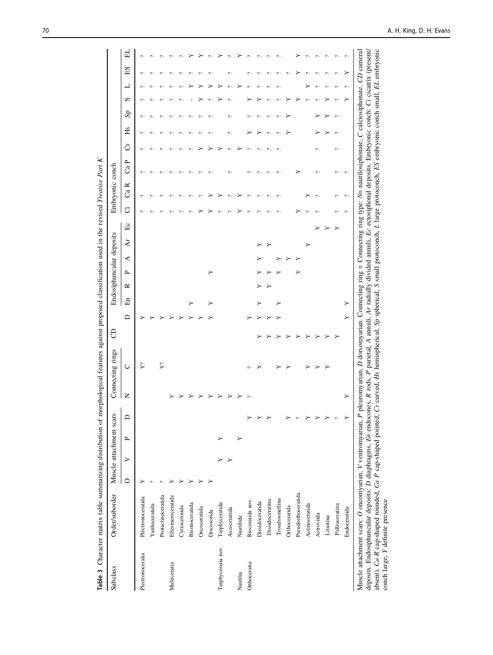<span id="page-5-0"></span>

|                                  | Table 3 Character matrix table summarizing distribution of                                                                                                                                                                                                                                                                                                                                                                                      |         |   |   |                         |   | morphological features against proposed classification used in the revised Treatise Part K                                |   |   |    |   |   |                          |   |        |                 |               |        |        |                |   |   |                     |   |
|----------------------------------|-------------------------------------------------------------------------------------------------------------------------------------------------------------------------------------------------------------------------------------------------------------------------------------------------------------------------------------------------------------------------------------------------------------------------------------------------|---------|---|---|-------------------------|---|---------------------------------------------------------------------------------------------------------------------------|---|---|----|---|---|--------------------------|---|--------|-----------------|---------------|--------|--------|----------------|---|---|---------------------|---|
| Subclass                         | Order/suborder                                                                                                                                                                                                                                                                                                                                                                                                                                  |         |   |   | Muscle attachment scars |   | Connecting rings                                                                                                          | 8 |   |    |   |   | Endosiphuncular deposits |   |        | Embryonic conch |               |        |        |                |   |   |                     |   |
|                                  |                                                                                                                                                                                                                                                                                                                                                                                                                                                 | $\circ$ | > | ≏ |                         | Z | ں                                                                                                                         |   | ≏ | En | ≃ | ≏ | Är<br>⋖                  | 띥 | ්<br>ö | ≃               | <b>p</b><br>් | ٿ      | Hs     | s <sub>p</sub> | S | ᆜ | ES                  | ㅁ |
| Plectronoceratia                 | Plectronoceratida                                                                                                                                                                                                                                                                                                                                                                                                                               |         |   |   |                         |   | Ŷ?                                                                                                                        |   |   |    |   |   |                          |   |        |                 |               |        |        |                |   |   |                     |   |
|                                  | Yanheceratida                                                                                                                                                                                                                                                                                                                                                                                                                                   |         |   |   |                         |   |                                                                                                                           |   |   |    |   |   |                          |   |        |                 |               |        |        |                |   |   |                     |   |
|                                  | Protactinoceratida                                                                                                                                                                                                                                                                                                                                                                                                                              |         |   |   |                         |   | Ŷ?                                                                                                                        |   |   |    |   |   |                          |   |        |                 |               |        | $\sim$ |                |   |   |                     |   |
| Multiceratia                     | Ellesmeroceratida                                                                                                                                                                                                                                                                                                                                                                                                                               |         |   |   |                         |   |                                                                                                                           |   |   |    |   |   |                          |   |        |                 |               |        | ¢      |                |   |   |                     |   |
|                                  | Cyrtocerinida                                                                                                                                                                                                                                                                                                                                                                                                                                   |         |   |   |                         |   |                                                                                                                           |   |   |    |   |   |                          |   |        |                 |               |        | ¢      |                |   |   |                     |   |
|                                  | Bisonoceratida                                                                                                                                                                                                                                                                                                                                                                                                                                  |         |   |   |                         |   |                                                                                                                           |   |   |    |   |   |                          |   |        |                 |               |        |        |                |   |   |                     |   |
|                                  | Oncoceratida                                                                                                                                                                                                                                                                                                                                                                                                                                    |         |   |   |                         |   |                                                                                                                           |   |   |    |   |   |                          |   |        |                 |               |        |        |                |   |   |                     |   |
|                                  | Discosorida                                                                                                                                                                                                                                                                                                                                                                                                                                     |         |   |   |                         |   |                                                                                                                           |   |   |    |   | ≻ |                          |   |        |                 |               |        |        |                |   |   |                     |   |
| Tarphyceratia nov.               | Tarphyceratida                                                                                                                                                                                                                                                                                                                                                                                                                                  |         | ≻ |   |                         |   |                                                                                                                           |   |   |    |   |   |                          |   |        |                 |               |        |        |                |   |   |                     |   |
|                                  | Ascoceratida                                                                                                                                                                                                                                                                                                                                                                                                                                    |         | ≻ |   |                         |   |                                                                                                                           |   |   |    |   |   |                          |   |        |                 |               |        |        |                |   |   |                     |   |
| Nautilia                         | Nautilida                                                                                                                                                                                                                                                                                                                                                                                                                                       |         |   |   |                         |   |                                                                                                                           |   |   |    |   |   |                          |   |        |                 |               |        |        |                |   |   |                     |   |
| Orthoceratia                     | Rioceratida nov.                                                                                                                                                                                                                                                                                                                                                                                                                                |         |   |   |                         |   |                                                                                                                           |   |   |    |   |   |                          |   |        |                 |               |        |        |                |   |   |                     |   |
|                                  | Dissidoceratida                                                                                                                                                                                                                                                                                                                                                                                                                                 |         |   |   |                         |   |                                                                                                                           |   |   |    |   |   |                          |   |        |                 |               |        |        |                |   |   |                     |   |
|                                  | Dissidoceratina                                                                                                                                                                                                                                                                                                                                                                                                                                 |         |   |   |                         |   |                                                                                                                           |   |   |    |   |   |                          |   |        |                 |               |        |        |                |   |   |                     |   |
|                                  | Troedssonellina                                                                                                                                                                                                                                                                                                                                                                                                                                 |         |   |   |                         |   |                                                                                                                           |   |   |    |   |   |                          |   |        |                 |               |        |        |                |   |   |                     |   |
|                                  | Orthoceratida                                                                                                                                                                                                                                                                                                                                                                                                                                   |         |   |   |                         |   |                                                                                                                           |   |   |    |   |   |                          |   |        |                 |               |        |        |                |   |   |                     |   |
|                                  | Pseudorthoceratida                                                                                                                                                                                                                                                                                                                                                                                                                              |         |   |   |                         |   |                                                                                                                           |   |   |    |   |   |                          |   |        |                 |               |        |        |                |   |   |                     |   |
|                                  | Actinoceratida                                                                                                                                                                                                                                                                                                                                                                                                                                  |         |   |   |                         |   |                                                                                                                           |   |   |    |   |   |                          |   |        |                 |               |        |        |                |   |   |                     |   |
|                                  | Astroviida                                                                                                                                                                                                                                                                                                                                                                                                                                      |         |   |   |                         |   |                                                                                                                           |   |   |    |   |   |                          |   |        |                 |               |        |        |                |   |   |                     |   |
|                                  | Lituitina                                                                                                                                                                                                                                                                                                                                                                                                                                       |         |   |   |                         |   |                                                                                                                           |   |   |    |   |   |                          |   |        |                 |               |        |        |                |   |   | $\hat{\phantom{0}}$ |   |
|                                  | Pallioceratina                                                                                                                                                                                                                                                                                                                                                                                                                                  |         |   |   |                         |   |                                                                                                                           |   |   |    |   |   |                          |   | ÷      |                 |               | $\sim$ |        |                |   |   |                     |   |
|                                  | Endoceratida                                                                                                                                                                                                                                                                                                                                                                                                                                    |         |   |   |                         | Υ |                                                                                                                           |   | Σ | ≻  |   |   |                          |   | $\sim$ |                 |               |        |        |                |   |   |                     |   |
| conch large, Y definite presence | deposits. Endosiphuncular deposits: D diaphragms, En endocones, R rods, P parietal, A annuli, Ar radially divided annuli, Ec ectosiphonal deposits. Embryonic conch: Ci cicatrix (present<br>Muscle attachment scars: O oncomyarian, V ventromyarian, P pleuromyarian, D dorsomyarian. Connecting ring = Connecting ring type: N= nautilosiphonate, C calciosiphonate. CD cameral<br>absent), Ca R cap-shaped rounded, Ca P cap-shaped pointed, |         |   |   |                         |   | Cr curved, Hs hemispherical, Sp spherical, S small protoconch, L large protoconch, ES embryonic conch small, EL embryonic |   |   |    |   |   |                          |   |        |                 |               |        |        |                |   |   |                     |   |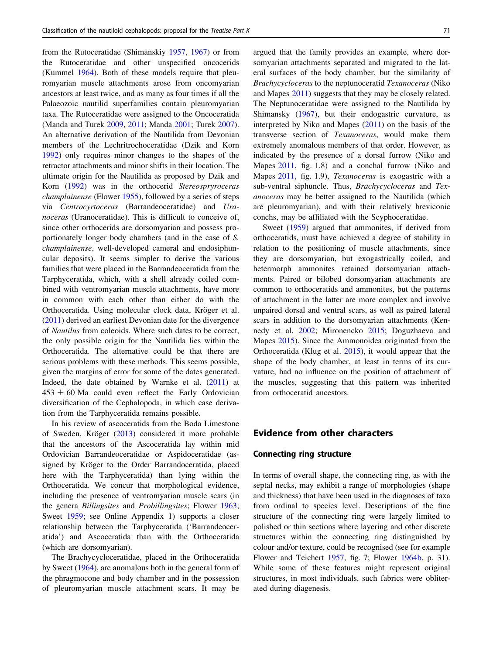from the Rutoceratidae (Shimanskiy [1957](#page-19-0), [1967](#page-19-0)) or from the Rutoceratidae and other unspecified oncocerids (Kummel [1964](#page-18-0)). Both of these models require that pleuromyarian muscle attachments arose from oncomyarian ancestors at least twice, and as many as four times if all the Palaeozoic nautilid superfamilies contain pleuromyarian taxa. The Rutoceratidae were assigned to the Oncoceratida (Manda and Turek [2009](#page-18-0), [2011;](#page-18-0) Manda [2001;](#page-18-0) Turek [2007](#page-19-0)). An alternative derivation of the Nautilida from Devonian members of the Lechritrochoceratidae (Dzik and Korn [1992\)](#page-16-0) only requires minor changes to the shapes of the retractor attachments and minor shifts in their location. The ultimate origin for the Nautilida as proposed by Dzik and Korn ([1992\)](#page-16-0) was in the orthocerid Stereospryroceras champlainense (Flower [1955\)](#page-16-0), followed by a series of steps via Centrocyrtoceras (Barrandeoceratidae) and Uranoceras (Uranoceratidae). This is difficult to conceive of, since other orthocerids are dorsomyarian and possess proportionately longer body chambers (and in the case of S. champlainense, well-developed cameral and endosiphuncular deposits). It seems simpler to derive the various families that were placed in the Barrandeoceratida from the Tarphyceratida, which, with a shell already coiled combined with ventromyarian muscle attachments, have more in common with each other than either do with the Orthoceratida. Using molecular clock data, Kröger et al. [\(2011](#page-18-0)) derived an earliest Devonian date for the divergence of Nautilus from coleoids. Where such dates to be correct, the only possible origin for the Nautilida lies within the Orthoceratida. The alternative could be that there are serious problems with these methods. This seems possible, given the margins of error for some of the dates generated. Indeed, the date obtained by Warnke et al. ([2011\)](#page-19-0) at  $453 \pm 60$  Ma could even reflect the Early Ordovician diversification of the Cephalopoda, in which case derivation from the Tarphyceratida remains possible.

In his review of ascoceratids from the Boda Limestone of Sweden, Kröger ([2013\)](#page-17-0) considered it more probable that the ancestors of the Ascoceratida lay within mid Ordovician Barrandeoceratidae or Aspidoceratidae (assigned by Kröger to the Order Barrandoceratida, placed here with the Tarphyceratida) than lying within the Orthoceratida. We concur that morphological evidence, including the presence of ventromyarian muscle scars (in the genera Billingsites and Probillingsites; Flower [1963](#page-16-0); Sweet [1959;](#page-19-0) see Online Appendix 1) supports a closer relationship between the Tarphyceratida ('Barrandeoceratida') and Ascoceratida than with the Orthoceratida (which are dorsomyarian).

The Brachycycloceratidae, placed in the Orthoceratida by Sweet ([1964](#page-19-0)), are anomalous both in the general form of the phragmocone and body chamber and in the possession of pleuromyarian muscle attachment scars. It may be argued that the family provides an example, where dorsomyarian attachments separated and migrated to the lateral surfaces of the body chamber, but the similarity of Brachycycloceras to the neptunoceratid Texanoceras (Niko and Mapes [2011\)](#page-18-0) suggests that they may be closely related. The Neptunoceratidae were assigned to the Nautilida by Shimansky [\(1967](#page-19-0)), but their endogastric curvature, as interpreted by Niko and Mapes [\(2011](#page-18-0)) on the basis of the transverse section of Texanoceras, would make them extremely anomalous members of that order. However, as indicated by the presence of a dorsal furrow (Niko and Mapes [2011](#page-18-0), fig. 1.8) and a conchal furrow (Niko and Mapes [2011](#page-18-0), fig. 1.9), Texanoceras is exogastric with a sub-ventral siphuncle. Thus, Brachycycloceras and Texanoceras may be better assigned to the Nautilida (which are pleuromyarian), and with their relatively breviconic conchs, may be affiliated with the Scyphoceratidae.

Sweet ([1959\)](#page-19-0) argued that ammonites, if derived from orthoceratids, must have achieved a degree of stability in relation to the positioning of muscle attachments, since they are dorsomyarian, but exogastrically coiled, and hetermorph ammonites retained dorsomyarian attachments. Paired or bilobed dorsomyarian attachments are common to orthoceratids and ammonites, but the patterns of attachment in the latter are more complex and involve unpaired dorsal and ventral scars, as well as paired lateral scars in addition to the dorsomyarian attachments (Kennedy et al. [2002;](#page-17-0) Mironencko [2015;](#page-18-0) Doguzhaeva and Mapes [2015](#page-16-0)). Since the Ammonoidea originated from the Orthoceratida (Klug et al. [2015\)](#page-17-0), it would appear that the shape of the body chamber, at least in terms of its curvature, had no influence on the position of attachment of the muscles, suggesting that this pattern was inherited from orthoceratid ancestors.

## Evidence from other characters

#### Connecting ring structure

In terms of overall shape, the connecting ring, as with the septal necks, may exhibit a range of morphologies (shape and thickness) that have been used in the diagnoses of taxa from ordinal to species level. Descriptions of the fine structure of the connecting ring were largely limited to polished or thin sections where layering and other discrete structures within the connecting ring distinguished by colour and/or texture, could be recognised (see for example Flower and Teichert [1957,](#page-17-0) fig. 7; Flower [1964b](#page-17-0), p. 31). While some of these features might represent original structures, in most individuals, such fabrics were obliterated during diagenesis.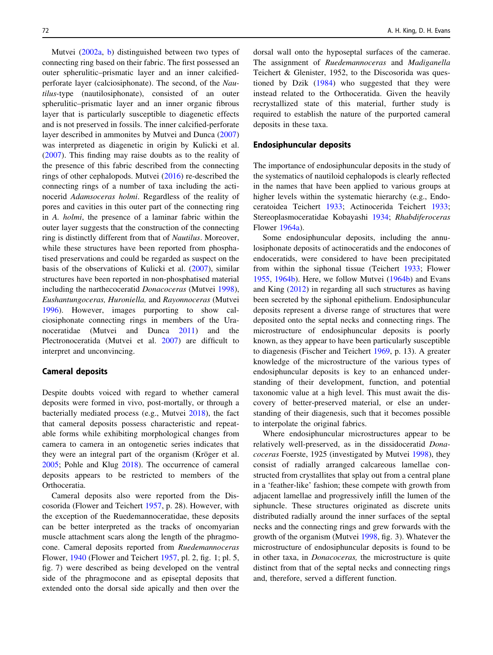Mutvei ([2002a](#page-18-0), [b\)](#page-18-0) distinguished between two types of connecting ring based on their fabric. The first possessed an outer spherulitic–prismatic layer and an inner calcifiedperforate layer (calciosiphonate). The second, of the Nautilus-type (nautilosiphonate), consisted of an outer spherulitic–prismatic layer and an inner organic fibrous layer that is particularly susceptible to diagenetic effects and is not preserved in fossils. The inner calcified-perforate layer described in ammonites by Mutvei and Dunca ([2007\)](#page-18-0) was interpreted as diagenetic in origin by Kulicki et al. [\(2007](#page-18-0)). This finding may raise doubts as to the reality of the presence of this fabric described from the connecting rings of other cephalopods. Mutvei ([2016](#page-18-0)) re-described the connecting rings of a number of taxa including the actinocerid Adamsoceras holmi. Regardless of the reality of pores and cavities in this outer part of the connecting ring in A. holmi, the presence of a laminar fabric within the outer layer suggests that the construction of the connecting ring is distinctly different from that of Nautilus. Moreover, while these structures have been reported from phosphatised preservations and could be regarded as suspect on the basis of the observations of Kulicki et al. ([2007\)](#page-18-0), similar structures have been reported in non-phosphatised material including the narthecoceratid Donacoceras (Mutvei [1998](#page-18-0)), Eushantungoceras, Huroniella, and Rayonnoceras (Mutvei [1996\)](#page-18-0). However, images purporting to show calciosiphonate connecting rings in members of the Uranoceratidae (Mutvei and Dunca [2011](#page-18-0)) and the Plectronoceratida (Mutvei et al. [2007](#page-18-0)) are difficult to interpret and unconvincing.

#### Cameral deposits

Despite doubts voiced with regard to whether cameral deposits were formed in vivo, post-mortally, or through a bacterially mediated process (e.g., Mutvei [2018](#page-18-0)), the fact that cameral deposits possess characteristic and repeatable forms while exhibiting morphological changes from camera to camera in an ontogenetic series indicates that they were an integral part of the organism (Kröger et al. [2005;](#page-17-0) Pohle and Klug [2018](#page-18-0)). The occurrence of cameral deposits appears to be restricted to members of the Orthoceratia.

Cameral deposits also were reported from the Discosorida (Flower and Teichert [1957](#page-17-0), p. 28). However, with the exception of the Ruedemannoceratidae, these deposits can be better interpreted as the tracks of oncomyarian muscle attachment scars along the length of the phragmocone. Cameral deposits reported from Ruedemannoceras Flower, [1940](#page-16-0) (Flower and Teichert [1957](#page-17-0), pl. 2, fig. 1; pl. 5, fig. 7) were described as being developed on the ventral side of the phragmocone and as episeptal deposits that extended onto the dorsal side apically and then over the

dorsal wall onto the hyposeptal surfaces of the camerae. The assignment of Ruedemannoceras and Madiganella Teichert & Glenister, 1952, to the Discosorida was questioned by Dzik [\(1984](#page-16-0)) who suggested that they were instead related to the Orthoceratida. Given the heavily recrystallized state of this material, further study is required to establish the nature of the purported cameral deposits in these taxa.

#### Endosiphuncular deposits

The importance of endosiphuncular deposits in the study of the systematics of nautiloid cephalopods is clearly reflected in the names that have been applied to various groups at higher levels within the systematic hierarchy (e.g., Endoceratoidea Teichert [1933;](#page-19-0) Actinocerida Teichert [1933](#page-19-0); Stereoplasmoceratidae Kobayashi [1934;](#page-17-0) Rhabdiferoceras Flower [1964a](#page-16-0)).

Some endosiphuncular deposits, including the annulosiphonate deposits of actinoceratids and the endocones of endoceratids, were considered to have been precipitated from within the siphonal tissue (Teichert [1933;](#page-19-0) Flower [1955](#page-16-0), [1964b\)](#page-17-0). Here, we follow Mutvei ([1964b\)](#page-18-0) and Evans and King [\(2012](#page-16-0)) in regarding all such structures as having been secreted by the siphonal epithelium. Endosiphuncular deposits represent a diverse range of structures that were deposited onto the septal necks and connecting rings. The microstructure of endosiphuncular deposits is poorly known, as they appear to have been particularly susceptible to diagenesis (Fischer and Teichert [1969](#page-16-0), p. 13). A greater knowledge of the microstructure of the various types of endosiphuncular deposits is key to an enhanced understanding of their development, function, and potential taxonomic value at a high level. This must await the discovery of better-preserved material, or else an understanding of their diagenesis, such that it becomes possible to interpolate the original fabrics.

Where endosiphuncular microstructures appear to be relatively well-preserved, as in the dissidoceratid Donacoceras Foerste, 1925 (investigated by Mutvei [1998](#page-18-0)), they consist of radially arranged calcareous lamellae constructed from crystallites that splay out from a central plane in a 'feather-like' fashion; these compete with growth from adjacent lamellae and progressively infill the lumen of the siphuncle. These structures originated as discrete units distributed radially around the inner surfaces of the septal necks and the connecting rings and grew forwards with the growth of the organism (Mutvei [1998](#page-18-0), fig. 3). Whatever the microstructure of endosiphuncular deposits is found to be in other taxa, in Donacoceras, the microstructure is quite distinct from that of the septal necks and connecting rings and, therefore, served a different function.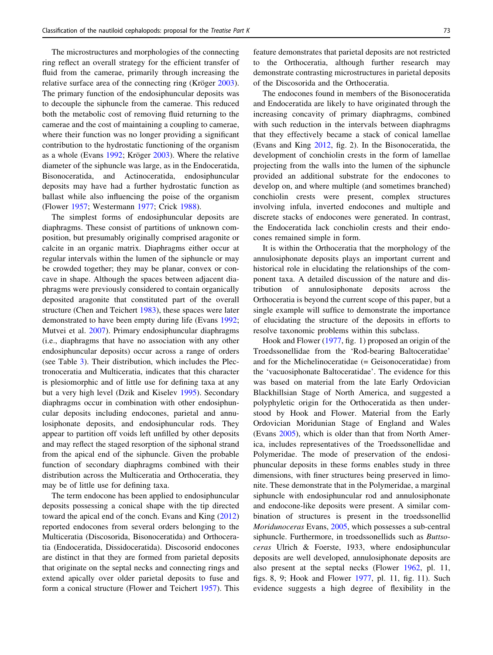The microstructures and morphologies of the connecting ring reflect an overall strategy for the efficient transfer of fluid from the camerae, primarily through increasing the relative surface area of the connecting ring (Kröger [2003](#page-17-0)). The primary function of the endosiphuncular deposits was to decouple the siphuncle from the camerae. This reduced both the metabolic cost of removing fluid returning to the camerae and the cost of maintaining a coupling to camerae, where their function was no longer providing a significant contribution to the hydrostatic functioning of the organism as a whole (Evans  $1992$ ; Kröger  $2003$ ). Where the relative diameter of the siphuncle was large, as in the Endoceratida, Bisonoceratida, and Actinoceratida, endosiphuncular deposits may have had a further hydrostatic function as ballast while also influencing the poise of the organism (Flower [1957;](#page-16-0) Westermann [1977;](#page-19-0) Crick [1988\)](#page-16-0).

The simplest forms of endosiphuncular deposits are diaphragms. These consist of partitions of unknown composition, but presumably originally comprised aragonite or calcite in an organic matrix. Diaphragms either occur at regular intervals within the lumen of the siphuncle or may be crowded together; they may be planar, convex or concave in shape. Although the spaces between adjacent diaphragms were previously considered to contain organically deposited aragonite that constituted part of the overall structure (Chen and Teichert [1983\)](#page-16-0), these spaces were later demonstrated to have been empty during life (Evans [1992](#page-16-0); Mutvei et al. [2007\)](#page-18-0). Primary endosiphuncular diaphragms (i.e., diaphragms that have no association with any other endosiphuncular deposits) occur across a range of orders (see Table [3\)](#page-5-0). Their distribution, which includes the Plectronoceratia and Multiceratia, indicates that this character is plesiomorphic and of little use for defining taxa at any but a very high level (Dzik and Kiselev [1995\)](#page-16-0). Secondary diaphragms occur in combination with other endosiphuncular deposits including endocones, parietal and annulosiphonate deposits, and endosiphuncular rods. They appear to partition off voids left unfilled by other deposits and may reflect the staged resorption of the siphonal strand from the apical end of the siphuncle. Given the probable function of secondary diaphragms combined with their distribution across the Multiceratia and Orthoceratia, they may be of little use for defining taxa.

The term endocone has been applied to endosiphuncular deposits possessing a conical shape with the tip directed toward the apical end of the conch. Evans and King ([2012\)](#page-16-0) reported endocones from several orders belonging to the Multiceratia (Discosorida, Bisonoceratida) and Orthoceratia (Endoceratida, Dissidoceratida). Discosorid endocones are distinct in that they are formed from parietal deposits that originate on the septal necks and connecting rings and extend apically over older parietal deposits to fuse and form a conical structure (Flower and Teichert [1957](#page-17-0)). This feature demonstrates that parietal deposits are not restricted to the Orthoceratia, although further research may demonstrate contrasting microstructures in parietal deposits of the Discosorida and the Orthoceratia.

The endocones found in members of the Bisonoceratida and Endoceratida are likely to have originated through the increasing concavity of primary diaphragms, combined with such reduction in the intervals between diaphragms that they effectively became a stack of conical lamellae (Evans and King [2012,](#page-16-0) fig. 2). In the Bisonoceratida, the development of conchiolin crests in the form of lamellae projecting from the walls into the lumen of the siphuncle provided an additional substrate for the endocones to develop on, and where multiple (and sometimes branched) conchiolin crests were present, complex structures involving infula, inverted endocones and multiple and discrete stacks of endocones were generated. In contrast, the Endoceratida lack conchiolin crests and their endocones remained simple in form.

It is within the Orthoceratia that the morphology of the annulosiphonate deposits plays an important current and historical role in elucidating the relationships of the component taxa. A detailed discussion of the nature and distribution of annulosiphonate deposits across the Orthoceratia is beyond the current scope of this paper, but a single example will suffice to demonstrate the importance of elucidating the structure of the deposits in efforts to resolve taxonomic problems within this subclass.

Hook and Flower ([1977,](#page-17-0) fig. 1) proposed an origin of the Troedssonellidae from the 'Rod-bearing Baltoceratidae' and for the Michelinoceratidae (= Geisonoceratidae) from the 'vacuosiphonate Baltoceratidae'. The evidence for this was based on material from the late Early Ordovician Blackhillsian Stage of North America, and suggested a polyphyletic origin for the Orthoceratida as then understood by Hook and Flower. Material from the Early Ordovician Moridunian Stage of England and Wales (Evans [2005](#page-16-0)), which is older than that from North America, includes representatives of the Troedssonellidae and Polymeridae. The mode of preservation of the endosiphuncular deposits in these forms enables study in three dimensions, with finer structures being preserved in limonite. These demonstrate that in the Polymeridae, a marginal siphuncle with endosiphuncular rod and annulosiphonate and endocone-like deposits were present. A similar combination of structures is present in the troedssonellid Moridunoceras Evans, [2005,](#page-16-0) which possesses a sub-central siphuncle. Furthermore, in troedssonellids such as Buttsoceras Ulrich & Foerste, 1933, where endosiphuncular deposits are well developed, annulosiphonate deposits are also present at the septal necks (Flower [1962,](#page-16-0) pl. 11, figs. 8, 9; Hook and Flower [1977,](#page-17-0) pl. 11, fig. 11). Such evidence suggests a high degree of flexibility in the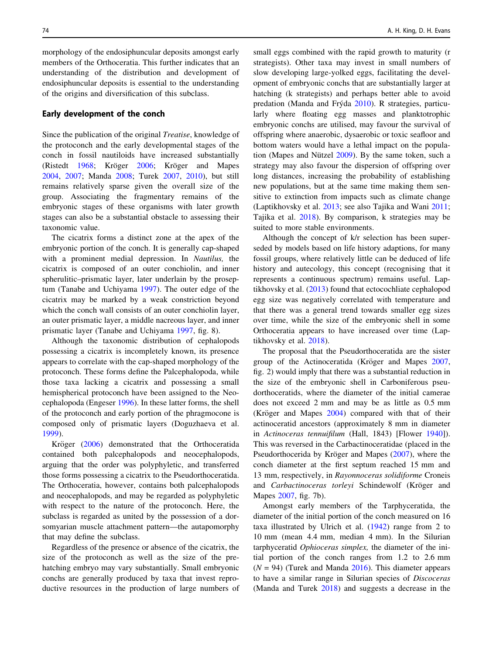morphology of the endosiphuncular deposits amongst early members of the Orthoceratia. This further indicates that an understanding of the distribution and development of endosiphuncular deposits is essential to the understanding of the origins and diversification of this subclass.

#### Early development of the conch

Since the publication of the original Treatise, knowledge of the protoconch and the early developmental stages of the conch in fossil nautiloids have increased substantially (Ristedt [1968](#page-19-0); Kröger [2006](#page-17-0); Kröger and Mapes [2004,](#page-17-0) [2007;](#page-17-0) Manda [2008;](#page-18-0) Turek [2007](#page-19-0), [2010\)](#page-19-0), but still remains relatively sparse given the overall size of the group. Associating the fragmentary remains of the embryonic stages of these organisms with later growth stages can also be a substantial obstacle to assessing their taxonomic value.

The cicatrix forms a distinct zone at the apex of the embryonic portion of the conch. It is generally cap-shaped with a prominent medial depression. In Nautilus, the cicatrix is composed of an outer conchiolin, and inner spherulitic–prismatic layer, later underlain by the proseptum (Tanabe and Uchiyama [1997\)](#page-19-0). The outer edge of the cicatrix may be marked by a weak constriction beyond which the conch wall consists of an outer conchiolin layer, an outer prismatic layer, a middle nacreous layer, and inner prismatic layer (Tanabe and Uchiyama [1997](#page-19-0), fig. 8).

Although the taxonomic distribution of cephalopods possessing a cicatrix is incompletely known, its presence appears to correlate with the cap-shaped morphology of the protoconch. These forms define the Palcephalopoda, while those taxa lacking a cicatrix and possessing a small hemispherical protoconch have been assigned to the Neocephalopoda (Engeser [1996](#page-16-0)). In these latter forms, the shell of the protoconch and early portion of the phragmocone is composed only of prismatic layers (Doguzhaeva et al. [1999\)](#page-16-0).

Kröger [\(2006](#page-17-0)) demonstrated that the Orthoceratida contained both palcephalopods and neocephalopods, arguing that the order was polyphyletic, and transferred those forms possessing a cicatrix to the Pseudorthoceratida. The Orthoceratia, however, contains both palcephalopods and neocephalopods, and may be regarded as polyphyletic with respect to the nature of the protoconch. Here, the subclass is regarded as united by the possession of a dorsomyarian muscle attachment pattern—the autapomorphy that may define the subclass.

Regardless of the presence or absence of the cicatrix, the size of the protoconch as well as the size of the prehatching embryo may vary substantially. Small embryonic conchs are generally produced by taxa that invest reproductive resources in the production of large numbers of small eggs combined with the rapid growth to maturity (r strategists). Other taxa may invest in small numbers of slow developing large-yolked eggs, facilitating the development of embryonic conchs that are substantially larger at hatching (k strategists) and perhaps better able to avoid predation (Manda and Frýda [2010](#page-18-0)). R strategies, particularly where floating egg masses and planktotrophic embryonic conchs are utilised, may favour the survival of offspring where anaerobic, dysaerobic or toxic seafloor and bottom waters would have a lethal impact on the population (Mapes and Nützel  $2009$ ). By the same token, such a strategy may also favour the dispersion of offspring over long distances, increasing the probability of establishing new populations, but at the same time making them sensitive to extinction from impacts such as climate change (Laptikhovsky et al. [2013](#page-18-0); see also Tajika and Wani [2011](#page-19-0); Tajika et al. [2018\)](#page-19-0). By comparison, k strategies may be suited to more stable environments.

Although the concept of k/r selection has been superseded by models based on life history adaptions, for many fossil groups, where relatively little can be deduced of life history and autecology, this concept (recognising that it represents a continuous spectrum) remains useful. Laptikhovsky et al. [\(2013](#page-18-0)) found that ectocochliate cephalopod egg size was negatively correlated with temperature and that there was a general trend towards smaller egg sizes over time, while the size of the embryonic shell in some Orthoceratia appears to have increased over time (Laptikhovsky et al. [2018\)](#page-18-0).

The proposal that the Pseudorthoceratida are the sister group of the Actinoceratida (Kröger and Mapes [2007,](#page-17-0) fig. 2) would imply that there was a substantial reduction in the size of the embryonic shell in Carboniferous pseudorthoceratids, where the diameter of the initial camerae does not exceed 2 mm and may be as little as 0.5 mm (Kröger and Mapes  $2004$ ) compared with that of their actinoceratid ancestors (approximately 8 mm in diameter in Actinoceras tennuifilum (Hall, 1843) [Flower [1940](#page-16-0)]). This was reversed in the Carbactinoceratidae (placed in the Pseudorthocerida by Kröger and Mapes  $(2007)$ , where the conch diameter at the first septum reached 15 mm and 13 mm, respectively, in Rayonnoceras solidiforme Croneis and Carbactinoceras torleyi Schindewolf (Kröger and Mapes [2007](#page-17-0), fig. 7b).

Amongst early members of the Tarphyceratida, the diameter of the initial portion of the conch measured on 16 taxa illustrated by Ulrich et al. [\(1942](#page-19-0)) range from 2 to 10 mm (mean 4.4 mm, median 4 mm). In the Silurian tarphyceratid Ophioceras simplex, the diameter of the initial portion of the conch ranges from 1.2 to 2.6 mm  $(N = 94)$  (Turek and Manda [2016\)](#page-19-0). This diameter appears to have a similar range in Silurian species of Discoceras (Manda and Turek [2018](#page-18-0)) and suggests a decrease in the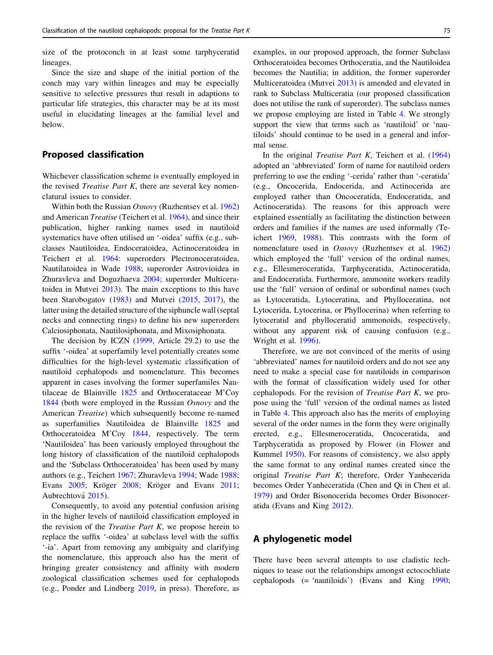size of the protoconch in at least some tarphyceratid lineages.

Since the size and shape of the initial portion of the conch may vary within lineages and may be especially sensitive to selective pressures that result in adaptions to particular life strategies, this character may be at its most useful in elucidating lineages at the familial level and below.

## Proposed classification

Whichever classification scheme is eventually employed in the revised *Treatise Part K*, there are several key nomenclatural issues to consider.

Within both the Russian Osnovy (Ruzhentsev et al. [1962\)](#page-19-0) and American Treatise (Teichert et al. [1964\)](#page-19-0), and since their publication, higher ranking names used in nautiloid systematics have often utilised an '-oidea' suffix (e.g., subclasses Nautiloidea, Endoceratoidea, Actinoceratoidea in Teichert et al. [1964](#page-19-0): superorders Plectronoceratoidea, Nautilatoidea in Wade [1988](#page-19-0); superorder Astrovioidea in Zhuravleva and Doguzhaeva [2004](#page-20-0); superorder Multiceratoidea in Mutvei [2013\)](#page-18-0). The main exceptions to this have been Starobogatov ([1983\)](#page-19-0) and Mutvei [\(2015](#page-18-0), [2017](#page-18-0)), the latter using the detailed structure of the siphuncle wall (septal necks and connecting rings) to define his new superorders Calciosiphonata, Nautilosiphonata, and Mixosiphonata.

The decision by ICZN [\(1999](#page-17-0), Article 29.2) to use the suffix '-oidea' at superfamily level potentially creates some difficulties for the high-level systematic classification of nautiloid cephalopods and nomenclature. This becomes apparent in cases involving the former superfamiles Nautilaceae de Blainville [1825](#page-16-0) and Orthocerataceae M'Coy [1844](#page-18-0) (both were employed in the Russian Osnovy and the American Treatise) which subsequently become re-named as superfamilies Nautiloidea de Blainville [1825](#page-16-0) and Orthoceratoidea M'Coy [1844](#page-18-0), respectively. The term 'Nautiloidea' has been variously employed throughout the long history of classification of the nautiloid cephalopods and the 'Subclass Orthoceratoidea' has been used by many authors (e.g., Teichert [1967;](#page-19-0) Zhuravleva [1994](#page-20-0); Wade [1988](#page-19-0); Evans [2005;](#page-16-0) Kröger [2008;](#page-17-0) Kröger and Evans [2011](#page-17-0); Aubrechtová [2015\)](#page-16-0).

Consequently, to avoid any potential confusion arising in the higher levels of nautiloid classification employed in the revision of the *Treatise Part K*, we propose herein to replace the suffix '-oidea' at subclass level with the suffix '-ia'. Apart from removing any ambiguity and clarifying the nomenclature, this approach also has the merit of bringing greater consistency and affinity with modern zoological classification schemes used for cephalopods (e.g., Ponder and Lindberg [2019](#page-19-0), in press). Therefore, as examples, in our proposed approach, the former Subclass Orthoceratoidea becomes Orthoceratia, and the Nautiloidea becomes the Nautilia; in addition, the former superorder Multiceratoidea (Mutvei [2013\)](#page-18-0) is amended and elevated in rank to Subclass Multiceratia (our proposed classification does not utilise the rank of superorder). The subclass names we propose employing are listed in Table [4.](#page-11-0) We strongly support the view that terms such as 'nautiloid' or 'nautiloids' should continue to be used in a general and informal sense.

In the original *Treatise Part K*, Teichert et al.  $(1964)$  $(1964)$ adopted an 'abbreviated' form of name for nautiloid orders preferring to use the ending '-cerida' rather than '-ceratida' (e.g., Oncocerida, Endocerida, and Actinocerida are employed rather than Oncoceratida, Endoceratida, and Actinoceratida). The reasons for this approach were explained essentially as facilitating the distinction between orders and families if the names are used informally (Teichert [1969,](#page-19-0) [1988](#page-19-0)). This contrasts with the form of nomenclature used in Osnovy (Ruzhentsev et al. [1962\)](#page-19-0) which employed the 'full' version of the ordinal names, e.g., Ellesmeroceratida, Tarphyceratida, Actinoceratida, and Endoceratida. Furthermore, ammonite workers readily use the 'full' version of ordinal or subordinal names (such as Lytoceratida, Lytoceratina, and Phylloceratina, not Lytocerida, Lytocerina, or Phyllocerina) when referring to lytoceratid and phylloceratid ammonoids, respectively, without any apparent risk of causing confusion (e.g., Wright et al. [1996](#page-19-0)).

Therefore, we are not convinced of the merits of using 'abbreviated' names for nautiloid orders and do not see any need to make a special case for nautiloids in comparison with the format of classification widely used for other cephalopods. For the revision of Treatise Part K, we propose using the 'full' version of the ordinal names as listed in Table [4.](#page-11-0) This approach also has the merits of employing several of the order names in the form they were originally erected, e.g., Ellesmeroceratida, Oncoceratida, and Tarphyceratida as proposed by Flower (in Flower and Kummel [1950](#page-17-0)). For reasons of consistency, we also apply the same format to any ordinal names created since the original Treatise Part K; therefore, Order Yanhecerida becomes Order Yanheceratida (Chen and Qi in Chen et al. [1979](#page-16-0)) and Order Bisonocerida becomes Order Bisonoceratida (Evans and King [2012](#page-16-0)).

## A phylogenetic model

There have been several attempts to use cladistic techniques to tease out the relationships amongst ectocochliate cephalopods (= 'nautiloids') (Evans and King [1990](#page-16-0);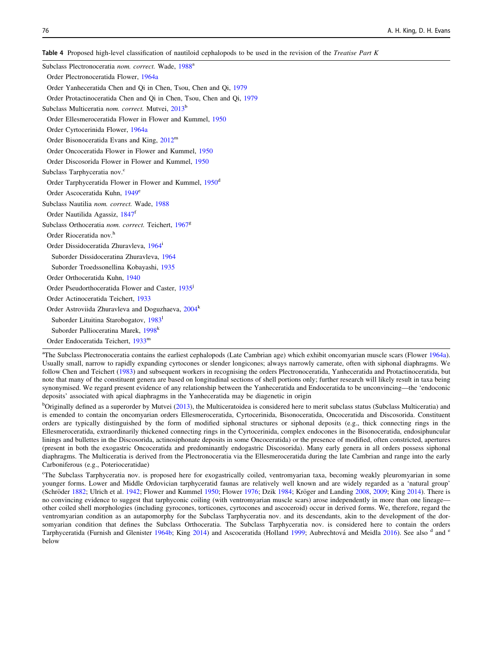<span id="page-11-0"></span>Table 4 Proposed high-level classification of nautiloid cephalopods to be used in the revision of the Treatise Part K

| Subclass Plectronoceratia nom. correct. Wade, 1988 <sup>a</sup>       |
|-----------------------------------------------------------------------|
| Order Plectronoceratida Flower, 1964a                                 |
| Order Yanheceratida Chen and Qi in Chen, Tsou, Chen and Qi, 1979      |
| Order Protactinoceratida Chen and Qi in Chen, Tsou, Chen and Qi, 1979 |
| Subclass Multiceratia nom. correct. Mutvei, 2013 <sup>b</sup>         |
| Order Ellesmeroceratida Flower in Flower and Kummel, 1950             |
| Order Cyrtocerinida Flower, 1964a                                     |
| Order Bisonoceratida Evans and King, $2012m$                          |
| Order Oncoceratida Flower in Flower and Kummel, 1950                  |
| Order Discosorida Flower in Flower and Kummel, 1950                   |
| Subclass Tarphyceratia nov. <sup>c</sup>                              |
| Order Tarphyceratida Flower in Flower and Kummel, 1950 <sup>d</sup>   |
| Order Ascoceratida Kuhn, 1949 <sup>e</sup>                            |
| Subclass Nautilia nom. correct. Wade, 1988                            |
| Order Nautilida Agassiz, 1847 <sup>f</sup>                            |
| Subclass Orthoceratia nom. correct. Teichert, 1967 <sup>g</sup>       |
| Order Rioceratida nov. <sup>h</sup>                                   |
| Order Dissidoceratida Zhuravleva, 1964 <sup>1</sup>                   |
| Suborder Dissidoceratina Zhuravleva, 1964                             |
| Suborder Troedssonellina Kobayashi, 1935                              |
| Order Orthoceratida Kuhn, 1940                                        |
| Order Pseudorthoceratida Flower and Caster, 1935 <sup>1</sup>         |
| Order Actinoceratida Teichert, 1933                                   |
| Order Astroviida Zhuravleva and Doguzhaeva, 2004 <sup>k</sup>         |
| Suborder Lituitina Starobogatov, 1983 <sup>1</sup>                    |
| Suborder Pallioceratina Marek, 1998 <sup>k</sup>                      |
| Order Endoceratida Teichert, 1933 <sup>m</sup>                        |

<sup>a</sup>The Subclass Plectronoceratia contains the earliest cephalopods (Late Cambrian age) which exhibit oncomyarian muscle scars (Flower [1964a](#page-16-0)). Usually small, narrow to rapidly expanding cyrtocones or slender longicones; always narrowly camerate, often with siphonal diaphragms. We follow Chen and Teichert ([1983\)](#page-16-0) and subsequent workers in recognising the orders Plectronoceratida, Yanheceratida and Protactinoceratida, but note that many of the constituent genera are based on longitudinal sections of shell portions only; further research will likely result in taxa being synonymised. We regard present evidence of any relationship between the Yanheceratida and Endoceratida to be unconvincing—the 'endoconic deposits' associated with apical diaphragms in the Yanheceratida may be diagenetic in origin

<sup>b</sup>Originally defined as a superorder by Mutvei ([2013\)](#page-18-0), the Multiceratoidea is considered here to merit subclass status (Subclass Multiceratia) and is emended to contain the oncomyarian orders Ellesmeroceratida, Cyrtocerinida, Bisonoceratida, Oncoceratida and Discosorida. Constituent orders are typically distinguished by the form of modified siphonal structures or siphonal deposits (e.g., thick connecting rings in the Ellesmeroceratida, extraordinarily thickened connecting rings in the Cyrtocerinida, complex endocones in the Bisonoceratida, endosiphuncular linings and bullettes in the Discosorida, actinosiphonate deposits in some Oncoceratida) or the presence of modified, often constricted, apertures (present in both the exogastric Oncoceratida and predominantly endogastric Discosorida). Many early genera in all orders possess siphonal diaphragms. The Multiceratia is derived from the Plectronoceratia via the Ellesmeroceratida during the late Cambrian and range into the early Carboniferous (e.g., Poterioceratidae)

c The Subclass Tarphyceratia nov. is proposed here for exogastrically coiled, ventromyarian taxa, becoming weakly pleuromyarian in some younger forms. Lower and Middle Ordovician tarphyceratid faunas are relatively well known and are widely regarded as a 'natural group' (Schröder [1882;](#page-19-0) Ulrich et al. [1942](#page-19-0); Flower and Kummel [1950](#page-17-0); Flower [1976](#page-17-0); Dzik [1984;](#page-16-0) Kröger and Landing [2008](#page-17-0), [2009;](#page-17-0) King [2014\)](#page-17-0). There is no convincing evidence to suggest that tarphyconic coiling (with ventromyarian muscle scars) arose independently in more than one lineage other coiled shell morphologies (including gyrocones, torticones, cyrtocones and ascoceroid) occur in derived forms. We, therefore, regard the ventromyarian condition as an autapomorphy for the Subclass Tarphyceratia nov. and its descendants, akin to the development of the dorsomyarian condition that defines the Subclass Orthoceratia. The Subclass Tarphyceratia nov. is considered here to contain the orders Tarphyceratida (Furnish and Glenister [1964b;](#page-17-0) King [2014](#page-17-0)) and Ascoceratida (Holland [1999;](#page-17-0) Aubrechtová and Meidla [2016](#page-16-0)). See also <sup>d</sup> and below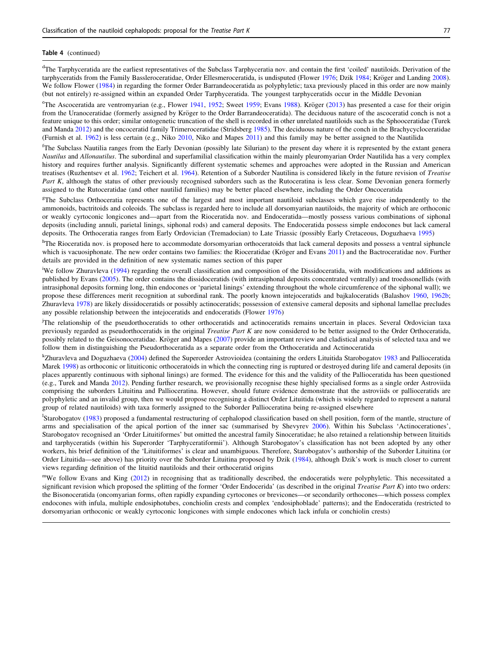#### Table 4 (continued)

<sup>d</sup>The Tarphyceratida are the earliest representatives of the Subclass Tarphyceratia nov. and contain the first 'coiled' nautiloids. Derivation of the tarphyceratids from the Family Bassleroceratidae, Order Ellesmeroceratida, is undisputed (Flower [1976;](#page-17-0) Dzik [1984](#page-16-0); Kröger and Landing [2008\)](#page-17-0). We follow Flower [\(1984](#page-17-0)) in regarding the former Order Barrandeoceratida as polyphyletic; taxa previously placed in this order are now mainly (but not entirely) re-assigned within an expanded Order Tarphyceratida. The youngest tarphyceratids occur in the Middle Devonian

<sup>e</sup>The Ascoceratida are ventromyarian (e.g., Flower [1941,](#page-16-0) [1952](#page-16-0); Sweet [1959](#page-19-0); Evans [1988\)](#page-16-0). Kröger [\(2013](#page-17-0)) has presented a case for their origin from the Uranoceratidae (formerly assigned by Kröger to the Order Barrandeoceratida). The deciduous nature of the ascoceratid conch is not a feature unique to this order; similar ontogenetic truncation of the shell is recorded in other unrelated nautiloids such as the Sphooceratidae (Turek and Manda [2012\)](#page-19-0) and the oncoceratid family Trimeroceratidae (Stridsberg [1985](#page-19-0)). The deciduous nature of the conch in the Brachycycloceratidae (Furnish et al. [1962\)](#page-17-0) is less certain (e.g., Niko [2010,](#page-18-0) Niko and Mapes [2011](#page-18-0)) and this family may be better assigned to the Nautilida

<sup>f</sup>The Subclass Nautilia ranges from the Early Devonian (possibly late Silurian) to the present day where it is represented by the extant genera Nautilus and Allonautilus. The subordinal and superfamilial classification within the mainly pleuromyarian Order Nautilida has a very complex history and requires further analysis. Significantly different systematic schemes and approaches were adopted in the Russian and American treatises (Ruzhentsev et al. [1962](#page-19-0); Teichert et al. [1964\)](#page-19-0). Retention of a Suborder Nautilina is considered likely in the future revision of Treatise Part K, although the status of other previously recognised suborders such as the Rutoceratina is less clear. Some Devonian genera formerly assigned to the Rutoceratidae (and other nautilid families) may be better placed elsewhere, including the Order Oncoceratida

<sup>g</sup>The Subclass Orthoceratia represents one of the largest and most important nautiloid subclasses which gave rise independently to the ammonoids, bactritoids and coleoids. The subclass is regarded here to include all dorsomyarian nautiloids, the majority of which are orthoconic or weakly cyrtoconic longicones and—apart from the Rioceratida nov. and Endoceratida—mostly possess various combinations of siphonal deposits (including annuli, parietal linings, siphonal rods) and cameral deposits. The Endoceratida possess simple endocones but lack cameral deposits. The Orthoceratia ranges from Early Ordovician (Tremadocian) to Late Triassic (possibly Early Cretaceous, Doguzhaeva [1995](#page-16-0))

<sup>h</sup>The Rioceratida nov. is proposed here to accommodate dorsomyarian orthoceratoids that lack cameral deposits and possess a ventral siphuncle which is vacuosiphonate. The new order contains two families: the Rioceratidae (Kröger and Evans [2011](#page-17-0)) and the Bactroceratidae nov. Further details are provided in the definition of new systematic names section of this paper

<sup>i</sup>We follow Zhuravleva ([1994\)](#page-20-0) regarding the overall classification and composition of the Dissidoceratida, with modifications and additions as published by Evans [\(2005](#page-16-0)). The order contains the dissidoceratids (with intrasiphonal deposits concentrated ventrally) and troedssonellids (with intrasiphonal deposits forming long, thin endocones or 'parietal linings' extending throughout the whole circumference of the siphonal wall); we propose these differences merit recognition at subordinal rank. The poorly known intejoceratids and bajkaloceratids (Balashov [1960,](#page-16-0) [1962b](#page-16-0); Zhuravleva [1978](#page-20-0)) are likely dissidoceratids or possibly actinoceratids; possession of extensive cameral deposits and siphonal lamellae precludes any possible relationship between the intejoceratids and endoceratids (Flower [1976](#page-17-0))

<sup>j</sup>The relationship of the pseudorthoceratids to other orthoceratids and actinoceratids remains uncertain in places. Several Ordovician taxa previously regarded as pseudorthoceratids in the original *Treatise Part K* are now considered to be better assigned to the Order Orthoceratida, possibly related to the Geisonoceratidae. Kröger and Mapes [\(2007](#page-17-0)) provide an important review and cladistical analysis of selected taxa and we follow them in distinguishing the Pseudorthoceratida as a separate order from the Orthoceratida and Actinoceratida

<sup>k</sup>Zhuravleva and Doguzhaeva ([2004\)](#page-20-0) defined the Superorder Astrovioidea (containing the orders Lituitida Starobogatov [1983](#page-19-0) and Pallioceratida Marek [1998](#page-18-0)) as orthoconic or lituiticonic orthoceratoids in which the connecting ring is ruptured or destroyed during life and cameral deposits (in places apparently continuous with siphonal linings) are formed. The evidence for this and the validity of the Pallioceratida has been questioned (e.g., Turek and Manda [2012\)](#page-19-0). Pending further research, we provisionally recognise these highly specialised forms as a single order Astroviida comprising the suborders Lituitina and Pallioceratina. However, should future evidence demonstrate that the astroviids or pallioceratids are polyphyletic and an invalid group, then we would propose recognising a distinct Order Lituitida (which is widely regarded to represent a natural group of related nautiloids) with taxa formerly assigned to the Suborder Pallioceratina being re-assigned elsewhere

l Starobogatov [\(1983](#page-19-0)) proposed a fundamental restructuring of cephalopod classification based on shell position, form of the mantle, structure of arms and specialisation of the apical portion of the inner sac (summarised by Shevyrev [2006](#page-19-0)). Within his Subclass 'Actinocerationes', Starobogatov recognised an 'Order Lituitiformes' but omitted the ancestral family Sinoceratidae; he also retained a relationship between lituitids and tarphyceratids (within his Superorder 'Tarphyceratiformii'). Although Starobogatov's classification has not been adopted by any other workers, his brief definition of the 'Lituitiformes' is clear and unambiguous. Therefore, Starobogatov's authorship of the Suborder Lituitina (or Order Lituitida—see above) has priority over the Suborder Lituitina proposed by Dzik [\(1984](#page-16-0)), although Dzik's work is much closer to current views regarding definition of the lituitid nautiloids and their orthoceratid origins

 $m$ We follow Evans and King ([2012\)](#page-16-0) in recognising that as traditionally described, the endoceratids were polyphyletic. This necessitated a significant revision which proposed the splitting of the former 'Order Endocerida' (as described in the original Treatise Part K) into two orders: the Bisonoceratida (oncomyarian forms, often rapidly expanding cyrtocones or brevicones—or secondarily orthocones—which possess complex endocones with infula, multiple endosiphotubes, conchiolin crests and complex 'endosiphoblade' patterns); and the Endoceratida (restricted to dorsomyarian orthoconic or weakly cyrtoconic longicones with simple endocones which lack infula or conchiolin crests)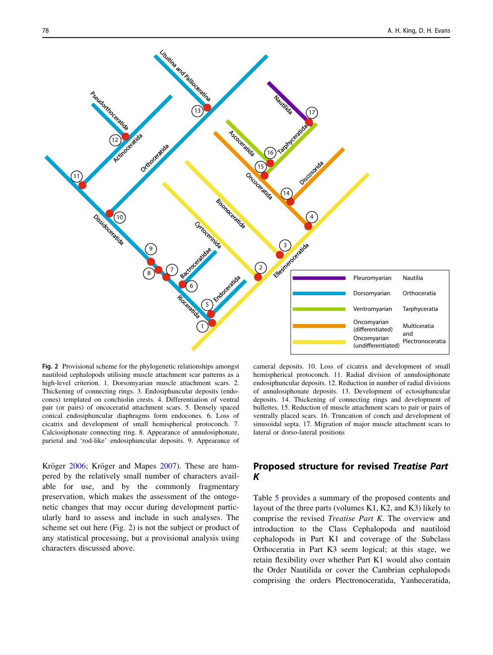

Fig. 2 Provisional scheme for the phylogenetic relationships amongst nautiloid cephalopods utilising muscle attachment scar patterns as a high-level criterion. 1. Dorsomyarian muscle attachment scars. 2. Thickening of connecting rings. 3. Endosiphuncular deposits (endocones) templated on conchiolin crests. 4. Differentiation of ventral pair (or pairs) of oncoceratid attachment scars. 5. Densely spaced conical endosiphuncular diaphragms form endocones. 6. Loss of cicatrix and development of small hemispherical protoconch. 7. Calciosiphonate connecting ring. 8. Appearance of annulosiphonate, parietal and 'rod-like' endosiphuncular deposits. 9. Appearance of

Kröger [2006;](#page-17-0) Kröger and Mapes [2007](#page-17-0)). These are hampered by the relatively small number of characters available for use, and by the commonly fragmentary preservation, which makes the assessment of the ontogenetic changes that may occur during development particularly hard to assess and include in such analyses. The scheme set out here (Fig. 2) is not the subject or product of any statistical processing, but a provisional analysis using characters discussed above.

cameral deposits. 10. Loss of cicatrix and development of small hemispherical protoconch. 11. Radial division of annulosiphonate endosiphuncular deposits. 12. Reduction in number of radial divisions of annulosiphonate deposits. 13. Development of ectosiphuncular deposits. 14. Thickening of connecting rings and development of bullettes. 15. Reduction of muscle attachment scars to pair or pairs of ventrally placed scars. 16. Truncation of conch and development of sinusoidal septa. 17. Migration of major muscle attachment scars to lateral or dorso-lateral positions

# Proposed structure for revised Treatise Part K

Table [5](#page-14-0) provides a summary of the proposed contents and layout of the three parts (volumes K1, K2, and K3) likely to comprise the revised Treatise Part K. The overview and introduction to the Class Cephalopoda and nautiloid cephalopods in Part K1 and coverage of the Subclass Orthoceratia in Part K3 seem logical; at this stage, we retain flexibility over whether Part K1 would also contain the Order Nautilida or cover the Cambrian cephalopods comprising the orders Plectronoceratida, Yanheceratida,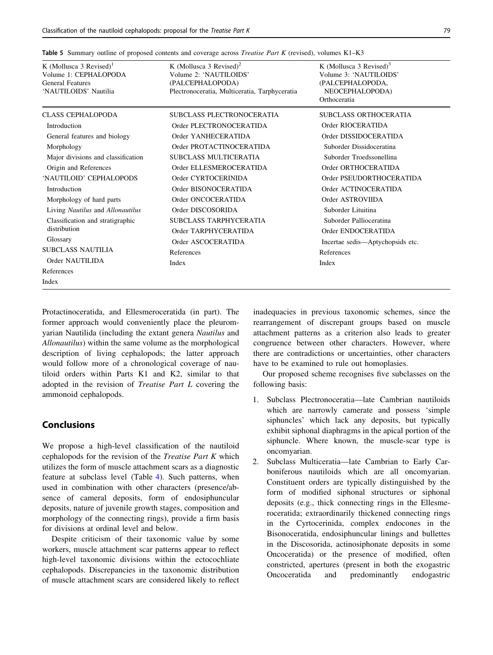<span id="page-14-0"></span>Table 5 Summary outline of proposed contents and coverage across *Treatise Part K* (revised), volumes K1–K3

| K (Mollusca 3 Revised) <sup>1</sup><br>Volume 1: CEPHALOPODA<br><b>General Features</b><br>'NAUTILOIDS' Nautilia | K (Mollusca 3 Revised) <sup>2</sup><br>Volume 2: 'NAUTILOIDS'<br>(PALCEPHALOPODA)<br>Plectronoceratia, Multiceratia, Tarphyceratia | K (Mollusca 3 Revised) <sup>3</sup><br>Volume 3: 'NAUTILOIDS'<br>(PALCEPHALOPODA,<br>NEOCEPHALOPODA)<br>Orthoceratia |
|------------------------------------------------------------------------------------------------------------------|------------------------------------------------------------------------------------------------------------------------------------|----------------------------------------------------------------------------------------------------------------------|
| <b>CLASS CEPHALOPODA</b>                                                                                         | SUBCLASS PLECTRONOCERATIA                                                                                                          | <b>SUBCLASS ORTHOCERATIA</b>                                                                                         |
| Introduction                                                                                                     | Order PLECTRONOCERATIDA                                                                                                            | Order RIOCERATIDA                                                                                                    |
| General features and biology                                                                                     | Order YANHECERATIDA                                                                                                                | Order DISSIDOCERATIDA                                                                                                |
| Morphology                                                                                                       | Order PROTACTINOCERATIDA                                                                                                           | Suborder Dissidoceratina                                                                                             |
| Major divisions and classification                                                                               | SUBCLASS MULTICERATIA                                                                                                              | Suborder Troedssonellina                                                                                             |
| Origin and References                                                                                            | Order ELLESMEROCERATIDA                                                                                                            | Order ORTHOCERATIDA                                                                                                  |
| 'NAUTILOID' CEPHALOPODS                                                                                          | Order CYRTOCERINIDA                                                                                                                | Order PSEUDORTHOCERATIDA                                                                                             |
| Introduction                                                                                                     | Order BISONOCERATIDA                                                                                                               | Order ACTINOCERATIDA                                                                                                 |
| Morphology of hard parts                                                                                         | Order ONCOCERATIDA                                                                                                                 | Order ASTROVIIDA                                                                                                     |
| Living Nautilus and Allonautilus                                                                                 | Order DISCOSORIDA                                                                                                                  | Suborder Lituitina                                                                                                   |
| Classification and stratigraphic                                                                                 | SUBCLASS TARPHYCERATIA                                                                                                             | Suborder Pallioceratina                                                                                              |
| distribution                                                                                                     | Order TARPHYCERATIDA                                                                                                               | Order ENDOCERATIDA                                                                                                   |
| Glossary                                                                                                         | Order ASCOCERATIDA                                                                                                                 | Incertae sedis—Aptychopsids etc.                                                                                     |
| SUBCLASS NAUTILIA                                                                                                | References                                                                                                                         | References                                                                                                           |
| Order NAUTILIDA                                                                                                  | Index                                                                                                                              | Index                                                                                                                |
| References                                                                                                       |                                                                                                                                    |                                                                                                                      |
| Index                                                                                                            |                                                                                                                                    |                                                                                                                      |

Protactinoceratida, and Ellesmeroceratida (in part). The former approach would conveniently place the pleuromyarian Nautilida (including the extant genera Nautilus and Allonautilus) within the same volume as the morphological description of living cephalopods; the latter approach would follow more of a chronological coverage of nautiloid orders within Parts K1 and K2, similar to that adopted in the revision of Treatise Part L covering the ammonoid cephalopods.

# Conclusions

We propose a high-level classification of the nautiloid cephalopods for the revision of the Treatise Part K which utilizes the form of muscle attachment scars as a diagnostic feature at subclass level (Table [4\)](#page-11-0). Such patterns, when used in combination with other characters (presence/absence of cameral deposits, form of endosiphuncular deposits, nature of juvenile growth stages, composition and morphology of the connecting rings), provide a firm basis for divisions at ordinal level and below.

Despite criticism of their taxonomic value by some workers, muscle attachment scar patterns appear to reflect high-level taxonomic divisions within the ectocochliate cephalopods. Discrepancies in the taxonomic distribution of muscle attachment scars are considered likely to reflect inadequacies in previous taxonomic schemes, since the rearrangement of discrepant groups based on muscle attachment patterns as a criterion also leads to greater congruence between other characters. However, where there are contradictions or uncertainties, other characters have to be examined to rule out homoplasies.

Our proposed scheme recognises five subclasses on the following basis:

- 1. Subclass Plectronoceratia—late Cambrian nautiloids which are narrowly camerate and possess 'simple siphuncles' which lack any deposits, but typically exhibit siphonal diaphragms in the apical portion of the siphuncle. Where known, the muscle-scar type is oncomyarian.
- 2. Subclass Multiceratia—late Cambrian to Early Carboniferous nautiloids which are all oncomyarian. Constituent orders are typically distinguished by the form of modified siphonal structures or siphonal deposits (e.g., thick connecting rings in the Ellesmeroceratida; extraordinarily thickened connecting rings in the Cyrtocerinida, complex endocones in the Bisonoceratida, endosiphuncular linings and bullettes in the Discosorida, actinosiphonate deposits in some Oncoceratida) or the presence of modified, often constricted, apertures (present in both the exogastric Oncoceratida and predominantly endogastric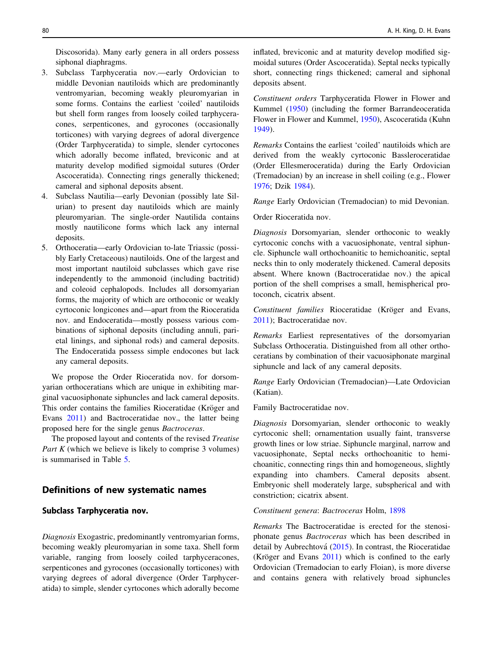Discosorida). Many early genera in all orders possess siphonal diaphragms.

- 3. Subclass Tarphyceratia nov.—early Ordovician to middle Devonian nautiloids which are predominantly ventromyarian, becoming weakly pleuromyarian in some forms. Contains the earliest 'coiled' nautiloids but shell form ranges from loosely coiled tarphyceracones, serpenticones, and gyrocones (occasionally torticones) with varying degrees of adoral divergence (Order Tarphyceratida) to simple, slender cyrtocones which adorally become inflated, breviconic and at maturity develop modified sigmoidal sutures (Order Ascoceratida). Connecting rings generally thickened; cameral and siphonal deposits absent.
- 4. Subclass Nautilia—early Devonian (possibly late Silurian) to present day nautiloids which are mainly pleuromyarian. The single-order Nautilida contains mostly nautilicone forms which lack any internal deposits.
- 5. Orthoceratia—early Ordovician to-late Triassic (possibly Early Cretaceous) nautiloids. One of the largest and most important nautiloid subclasses which gave rise independently to the ammonoid (including bactritid) and coleoid cephalopods. Includes all dorsomyarian forms, the majority of which are orthoconic or weakly cyrtoconic longicones and—apart from the Rioceratida nov. and Endoceratida—mostly possess various combinations of siphonal deposits (including annuli, parietal linings, and siphonal rods) and cameral deposits. The Endoceratida possess simple endocones but lack any cameral deposits.

We propose the Order Rioceratida nov. for dorsomyarian orthoceratians which are unique in exhibiting marginal vacuosiphonate siphuncles and lack cameral deposits. This order contains the families Rioceratidae (Kröger and Evans [2011\)](#page-17-0) and Bactroceratidae nov., the latter being proposed here for the single genus Bactroceras.

The proposed layout and contents of the revised Treatise Part  $K$  (which we believe is likely to comprise 3 volumes) is summarised in Table [5.](#page-14-0)

## Definitions of new systematic names

#### Subclass Tarphyceratia nov.

Diagnosis Exogastric, predominantly ventromyarian forms, becoming weakly pleuromyarian in some taxa. Shell form variable, ranging from loosely coiled tarphyceracones, serpenticones and gyrocones (occasionally torticones) with varying degrees of adoral divergence (Order Tarphyceratida) to simple, slender cyrtocones which adorally become inflated, breviconic and at maturity develop modified sigmoidal sutures (Order Ascoceratida). Septal necks typically short, connecting rings thickened; cameral and siphonal deposits absent.

Constituent orders Tarphyceratida Flower in Flower and Kummel ([1950\)](#page-17-0) (including the former Barrandeoceratida Flower in Flower and Kummel, [1950](#page-17-0)), Ascoceratida (Kuhn [1949](#page-18-0)).

Remarks Contains the earliest 'coiled' nautiloids which are derived from the weakly cyrtoconic Bassleroceratidae (Order Ellesmeroceratida) during the Early Ordovician (Tremadocian) by an increase in shell coiling (e.g., Flower [1976](#page-17-0); Dzik [1984\)](#page-16-0).

Range Early Ordovician (Tremadocian) to mid Devonian.

Order Rioceratida nov.

Diagnosis Dorsomyarian, slender orthoconic to weakly cyrtoconic conchs with a vacuosiphonate, ventral siphuncle. Siphuncle wall orthochoanitic to hemichoanitic, septal necks thin to only moderately thickened. Cameral deposits absent. Where known (Bactroceratidae nov.) the apical portion of the shell comprises a small, hemispherical protoconch, cicatrix absent.

Constituent families Rioceratidae (Kröger and Evans, [2011](#page-17-0)); Bactroceratidae nov.

Remarks Earliest representatives of the dorsomyarian Subclass Orthoceratia. Distinguished from all other orthoceratians by combination of their vacuosiphonate marginal siphuncle and lack of any cameral deposits.

Range Early Ordovician (Tremadocian)—Late Ordovician (Katian).

Family Bactroceratidae nov.

Diagnosis Dorsomyarian, slender orthoconic to weakly cyrtoconic shell; ornamentation usually faint, transverse growth lines or low striae. Siphuncle marginal, narrow and vacuosiphonate, Septal necks orthochoanitic to hemichoanitic, connecting rings thin and homogeneous, slightly expanding into chambers. Cameral deposits absent. Embryonic shell moderately large, subspherical and with constriction; cicatrix absent.

#### Constituent genera: Bactroceras Holm, [1898](#page-17-0)

Remarks The Bactroceratidae is erected for the stenosiphonate genus Bactroceras which has been described in detail by Aubrechtová ([2015\)](#page-16-0). In contrast, the Rioceratidae (Kröger and Evans  $2011$ ) which is confined to the early Ordovician (Tremadocian to early Floian), is more diverse and contains genera with relatively broad siphuncles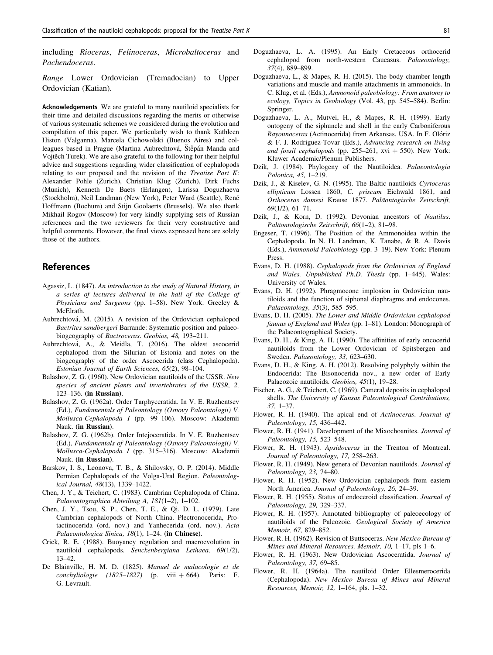<span id="page-16-0"></span>including Rioceras, Felinoceras, Microbaltoceras and Pachendoceras.

Range Lower Ordovician (Tremadocian) to Upper Ordovician (Katian).

Acknowledgements We are grateful to many nautiloid specialists for their time and detailed discussions regarding the merits or otherwise of various systematic schemes we considered during the evolution and compilation of this paper. We particularly wish to thank Kathleen Histon (Valganna), Marcela Cichowolski (Buenos Aires) and colleagues based in Prague (Martina Aubrechtová, Štěpán Manda and Vojtěch Turek). We are also grateful to the following for their helpful advice and suggestions regarding wider classification of cephalopods relating to our proposal and the revision of the Treatise Part K: Alexander Pohle (Zurich), Christian Klug (Zurich), Dirk Fuchs (Munich), Kenneth De Baets (Erlangen), Larissa Doguzhaeva (Stockholm), Neil Landman (New York), Peter Ward (Seattle), René Hoffmann (Bochum) and Stijn Goolaerts (Brussels). We also thank Mikhail Rogov (Moscow) for very kindly supplying sets of Russian references and the two reviewers for their very constructive and helpful comments. However, the final views expressed here are solely those of the authors.

#### References

- Agassiz, L. (1847). An introduction to the study of Natural History, in a series of lectures delivered in the hall of the College of Physicians and Surgeons (pp. 1–58). New York: Greeley & McElrath.
- Aubrechtová, M. (2015). A revision of the Ordovician cephalopod Bactrites sandbergeri Barrande: Systematic position and palaeobiogeography of Bactroceras. Geobios, 48, 193–211.
- Aubrechtová, A., & Meidla, T. (2016). The oldest ascocerid cephalopod from the Silurian of Estonia and notes on the biogeography of the order Ascocerida (class Cephalopoda). Estonian Journal of Earth Sciences, 65(2), 98–104.
- Balashov, Z. G. (1960). New Ordovician nautiloids of the USSR. New species of ancient plants and invertebrates of the USSR, 2, 123–136. (in Russian).
- Balashov, Z. G. (1962a). Order Tarphyceratida. In V. E. Ruzhentsev (Ed.), Fundamentals of Paleontology (Osnovy Paleontologii) V. Mollusca-Cephalopoda I (pp. 99–106). Moscow: Akademii Nauk. (in Russian).
- Balashov, Z. G. (1962b). Order Intejoceratida. In V. E. Ruzhentsev (Ed.), Fundamentals of Paleontology (Osnovy Paleontologii) V. Mollusca-Cephalopoda I (pp. 315–316). Moscow: Akademii Nauk. (in Russian).
- Barskov, I. S., Leonova, T. B., & Shilovsky, O. P. (2014). Middle Permian Cephalopods of the Volga-Ural Region. Paleontological Journal, 48(13), 1339–1422.
- Chen, J. Y., & Teichert, C. (1983). Cambrian Cephalopoda of China. Palaeontographica Abteilung A, 181(1–2), 1–102.
- Chen, J. Y., Tsou, S. P., Chen, T. E., & Qi, D. L. (1979). Late Cambrian cephalopods of North China. Plectronocerida, Protactinocerida (ord. nov.) and Yanhecerida (ord. nov.). Acta Palaeontologica Sinica,  $18(1)$ , 1–24. (in Chinese).
- Crick, R. E. (1988). Buoyancy regulation and macroevolution in nautiloid cephalopods. Senckenbergiana Lethaea, 69(1/2), 13–42.
- De Blainville, H. M. D. (1825). Manuel de malacologie et de conchyliologie  $(1825-1827)$  (p. viii  $+664$ ). Paris: F. G. Levrault.
- Doguzhaeva, L. A. (1995). An Early Cretaceous orthocerid cephalopod from north-western Caucasus. Palaeontology, 37(4), 889–899.
- Doguzhaeva, L., & Mapes, R. H. (2015). The body chamber length variations and muscle and mantle attachments in ammonoids. In C. Klug, et al. (Eds.), Ammonoid paleobiology: From anatomy to ecology, Topics in Geobiology (Vol. 43, pp. 545–584). Berlin: Springer.
- Doguzhaeva, L. A., Mutvei, H., & Mapes, R. H. (1999). Early ontogeny of the siphuncle and shell in the early Carboniferous Rayonnoceras (Actinocerida) from Arkansas, USA. In F. Olóriz & F. J. Rodriguez-Tovar (Eds.), Advancing research on living and fossil cephalopods (pp. 255–261,  $xvi + 550$ ). New York: Kluwer Academic/Plenum Publishers.
- Dzik, J. (1984). Phylogeny of the Nautiloidea. Palaeontologia Polonica, 45, 1–219.
- Dzik, J., & Kiselev, G. N. (1995). The Baltic nautiloids Cyrtoceras ellipticum Lossen 1860, C. priscum Eichwald 1861, and Orthoceras damesi Krause 1877. Paläontogische Zeitschrift, 69(1/2), 61–71.
- Dzik, J., & Korn, D. (1992). Devonian ancestors of Nautilus. Paläontologische Zeitschrift, 66(1-2), 81-98.
- Engeser, T. (1996). The Position of the Ammonoidea within the Cephalopoda. In N. H. Landman, K. Tanabe, & R. A. Davis (Eds.), Ammonoid Paleobiology (pp. 3–19). New York: Plenum Press.
- Evans, D. H. (1988). Cephalopods from the Ordovician of England and Wales, Unpublished Ph.D. Thesis (pp. 1–445). Wales: University of Wales.
- Evans, D. H. (1992). Phragmocone implosion in Ordovician nautiloids and the function of siphonal diaphragms and endocones. Palaeontology, 35(3), 585–595.
- Evans, D. H. (2005). The Lower and Middle Ordovician cephalopod faunas of England and Wales (pp. 1–81). London: Monograph of the Palaeontographical Society.
- Evans, D. H., & King, A. H. (1990). The affinities of early oncocerid nautiloids from the Lower Ordovician of Spitsbergen and Sweden. Palaeontology, 33, 623–630.
- Evans, D. H., & King, A. H. (2012). Resolving polyphyly within the Endocerida: The Bisonocerida nov., a new order of Early Palaeozoic nautiloids. Geobios, 45(1), 19–28.
- Fischer, A. G., & Teichert, C. (1969). Cameral deposits in cephalopod shells. The University of Kansas Paleontological Contributions, 37, 1–37.
- Flower, R. H. (1940). The apical end of Actinoceras. Journal of Paleontology, 15, 436–442.
- Flower, R. H. (1941). Development of the Mixochoanites. Journal of Paleontology, 15, 523–548.
- Flower, R. H. (1943). Apsidoceras in the Trenton of Montreal. Journal of Paleontology, 17, 258–263.
- Flower, R. H. (1949). New genera of Devonian nautiloids. Journal of Paleontology, 23, 74–80.
- Flower, R. H. (1952). New Ordovician cephalopods from eastern North America. Journal of Paleontology, 26, 24–39.
- Flower, R. H. (1955). Status of endoceroid classification. Journal of Paleontology, 29, 329–337.
- Flower, R. H. (1957). Annotated bibliography of paleoecology of nautiloids of the Paleozoic. Geological Society of America Memoir, 67, 829–852.
- Flower, R. H. (1962). Revision of Buttsoceras. New Mexico Bureau of Mines and Mineral Resources, Memoir, 10, 1–17, pls 1–6.
- Flower, R. H. (1963). New Ordovician Ascoceratida. Journal of Paleontology, 37, 69–85.
- Flower, R. H. (1964a). The nautiloid Order Ellesmerocerida (Cephalopoda). New Mexico Bureau of Mines and Mineral Resources, Memoir, 12, 1–164, pls. 1–32.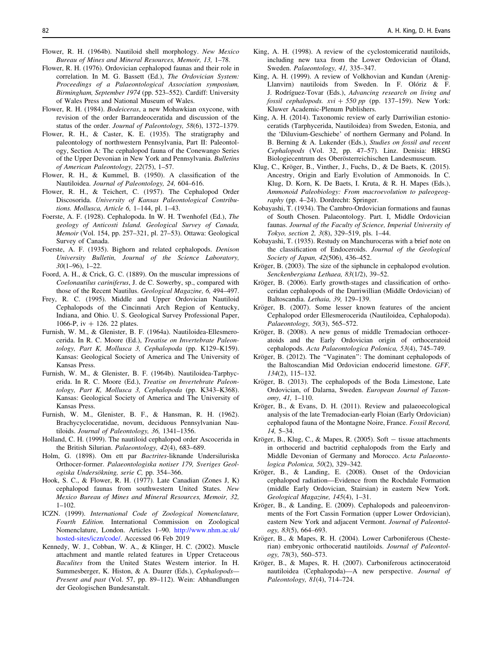- <span id="page-17-0"></span>Flower, R. H. (1964b). Nautiloid shell morphology. New Mexico Bureau of Mines and Mineral Resources, Memoir, 13, 1–78.
- Flower, R. H. (1976). Ordovician cephalopod faunas and their role in correlation. In M. G. Bassett (Ed.), The Ordovician System: Proceedings of a Palaeontological Association symposium, Birmingham, September 1974 (pp. 523–552). Cardiff: University of Wales Press and National Museum of Wales.
- Flower, R. H. (1984). Bodeiceras, a new Mohawkian oxycone, with revision of the order Barrandeoceratida and discussion of the status of the order. Journal of Paleontology, 58(6), 1372–1379.
- Flower, R. H., & Caster, K. E. (1935). The stratigraphy and paleontology of northwestern Pennsylvania, Part II: Paleontology, Section A: The cephalopod fauna of the Conewango Series of the Upper Devonian in New York and Pennsylvania. Bulletins of American Paleontology, 22(75), 1–57.
- Flower, R. H., & Kummel, B. (1950). A classification of the Nautiloidea. Journal of Paleontology, 24, 604–616.
- Flower, R. H., & Teichert, C. (1957). The Cephalopod Order Discosorida. University of Kansas Paleontological Contributions. Mollusca, Article 6, 1–144, pl. 1–43.
- Foerste, A. F. (1928). Cephalopoda. In W. H. Twenhofel (Ed.), The geology of Anticosti Island. Geological Survey of Canada, Memoir (Vol. 154, pp. 257–321, pl. 27–53). Ottawa: Geological Survey of Canada.
- Foerste, A. F. (1935). Bighorn and related cephalopods. Denison University Bulletin, Journal of the Science Laboratory, 30(1–96), 1–22.
- Foord, A. H., & Crick, G. C. (1889). On the muscular impressions of Coelonautilus cariniferus, J. de C. Sowerby, sp., compared with those of the Recent Nautilus. Geological Magazine, 6, 494–497.
- Frey, R. C. (1995). Middle and Upper Ordovician Nautiloid Cephalopods of the Cincinnati Arch Region of Kentucky, Indiana, and Ohio. U. S. Geological Survey Professional Paper, 1066-P, iv  $+$  126. 22 plates.
- Furnish, W. M., & Glenister, B. F. (1964a). Nautiloidea-Ellesmerocerida. In R. C. Moore (Ed.), Treatise on Invertebrate Paleontology, Part K, Mollusca 3, Cephalopoda (pp. K129–K159). Kansas: Geological Society of America and The University of Kansas Press.
- Furnish, W. M., & Glenister, B. F. (1964b). Nautiloidea-Tarphycerida. In R. C. Moore (Ed.), Treatise on Invertebrate Paleontology, Part K, Mollusca 3, Cephalopoda (pp. K343–K368). Kansas: Geological Society of America and The University of Kansas Press.
- Furnish, W. M., Glenister, B. F., & Hansman, R. H. (1962). Brachycycloceratidae, novum, deciduous Pennsylvanian Nautiloids. Journal of Paleontology, 36, 1341–1356.
- Holland, C. H. (1999). The nautiloid cephalopod order Ascocerida in the British Silurian. Palaeontology, 42(4), 683–689.
- Holm, G. (1898). Om ett par Bactrites-liknande Undersiluriska Orthocer-former. Palaeontologiska notiser 179, Sveriges Geologiska Undersökning, serie C, pp. 354-366.
- Hook, S. C., & Flower, R. H. (1977). Late Canadian (Zones J, K) cephalopod faunas from southwestern United States. New Mexico Bureau of Mines and Mineral Resources, Memoir, 32, 1–102.
- ICZN. (1999). International Code of Zoological Nomenclature, Fourth Edition. International Commission on Zoological Nomenclature, London. Articles 1–90. [http://www.nhm.ac.uk/](http://www.nhm.ac.uk/hosted-sites/iczn/code/) [hosted-sites/iczn/code/](http://www.nhm.ac.uk/hosted-sites/iczn/code/). Accessed 06 Feb 2019
- Kennedy, W. J., Cobban, W. A., & Klinger, H. C. (2002). Muscle attachment and mantle related features in Upper Cretaceous Baculites from the United States Western interior. In H. Summesberger, K. Histon, & A. Daurer (Eds.), Cephalopods— Present and past (Vol. 57, pp. 89–112). Wein: Abhandlungen der Geologischen Bundesanstalt.
- King, A. H. (1998). A review of the cyclostomiceratid nautiloids, including new taxa from the Lower Ordovician of Öland, Sweden. Palaeontology, 41, 335–347.
- King, A. H. (1999). A review of Volkhovian and Kundan (Arenig-Llanvirn) nautiloids from Sweden. In F. Olóriz & F. J. Rodríguez-Tovar (Eds.), Advancing research on living and fossil cephalopods.  $xvi + 550$  pp (pp. 137–159). New York: Kluwer Academic-Plenum Publishers.
- King, A. H. (2014). Taxonomic review of early Darriwilian estonioceratids (Tarphycerida, Nautiloidea) from Sweden, Estonia, and the 'Diluvium-Geschiebe' of northern Germany and Poland. In B. Berning & A. Lukender (Eds.), Studies on fossil and recent Cephalopods (Vol. 32, pp. 47–57). Linz. Denisia: HRSG Biologiecentrum des Oberösterreichischen Landesmuseum.
- Klug, C., Kröger, B., Vinther, J., Fuchs, D., & De Baets, K. (2015). Ancestry, Origin and Early Evolution of Ammonoids. In C. Klug, D. Korn, K. De Baets, I. Kruta, & R. H. Mapes (Eds.), Ammonoid Paleobiology: From macroevolution to paleogeography (pp. 4–24). Dordrecht: Springer.
- Kobayashi, T. (1934). The Cambro-Ordovician formations and faunas of South Chosen. Palaeontology. Part. I, Middle Ordovician faunas. Journal of the Faculty of Science, Imperial University of Tokyo, section 2, 3(8), 329–519, pls. 1–44.
- Kobayashi, T. (1935). Restudy on Manchuroceras with a brief note on the classification of Endoceroids. Journal of the Geological Society of Japan, 42(506), 436–452.
- Kröger, B. (2003). The size of the siphuncle in cephalopod evolution. Senckenbergiana Lethaea, 83(1/2), 39–52.
- Kröger, B. (2006). Early growth-stages and classification of orthoceridan cephalopods of the Darriwillian (Middle Ordovician) of Baltoscandia. Lethaia, 39, 129–139.
- Kröger, B. (2007). Some lesser known features of the ancient Cephalopod order Ellesmerocerida (Nautiloidea, Cephalopoda). Palaeontology, 50(3), 565–572.
- Kröger, B. (2008). A new genus of middle Tremadocian orthoceratoids and the Early Ordovician origin of orthoceratoid cephalopods. Acta Palaeontologica Polonica, 53(4), 745–749.
- Kröger, B. (2012). The "Vaginaten": The dominant cephalopods of the Baltoscandian Mid Ordovician endocerid limestone. GFF, 134(2), 115–132.
- Kröger, B. (2013). The cephalopods of the Boda Limestone, Late Ordovician, of Dalarna, Sweden. European Journal of Taxonomy, 41, 1–110.
- Kröger, B., & Evans, D. H. (2011). Review and palaeoecological analysis of the late Tremadocian-early Floian (Early Ordovician) cephalopod fauna of the Montagne Noire, France. Fossil Record, 14, 5–34.
- Kröger, B., Klug, C., & Mapes, R. (2005). Soft  $-$  tissue attachments in orthocerid and bactritid cephalopods from the Early and Middle Devonian of Germany and Morocco. Acta Palaeontologica Polonica, 50(2), 329–342.
- Kröger, B., & Landing, E. (2008). Onset of the Ordovician cephalopod radiation—Evidence from the Rochdale Formation (middle Early Ordovician, Stairsian) in eastern New York. Geological Magazine, 145(4), 1–31.
- Kröger, B., & Landing, E. (2009). Cephalopods and paleoenvironments of the Fort Cassin Formation (upper Lower Ordovician), eastern New York and adjacent Vermont. Journal of Paleontology, 83(5), 664–693.
- Kröger, B., & Mapes, R. H. (2004). Lower Carboniferous (Chesterian) embryonic orthoceratid nautiloids. Journal of Paleontology, 78(3), 560–573.
- Kröger, B., & Mapes, R. H. (2007). Carboniferous actinoceratoid nautiloidea (Cephalopoda)—A new perspective. Journal of Paleontology, 81(4), 714–724.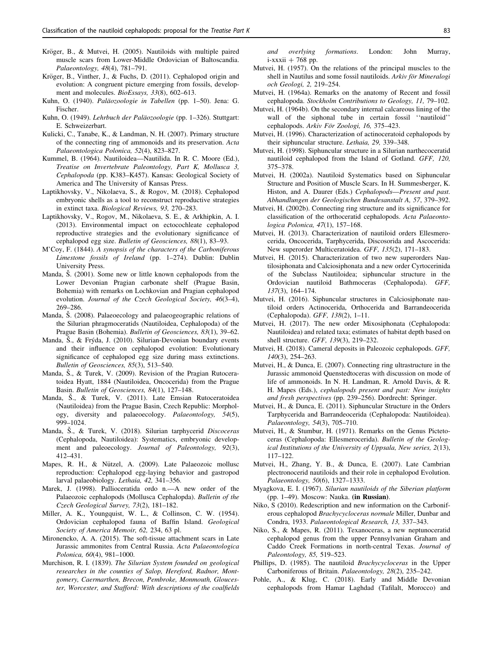- Mutvei, H. (1957). On the relations of the principal muscles to the shell in Nautilus and some fossil nautiloids. Arkiv för Mineralogi och Geologi, 2, 219–254.
	- Mutvei, H. (1964a). Remarks on the anatomy of Recent and fossil cephalopoda. Stockholm Contributions to Geology, 11, 79–102.
	- Mutvei, H. (1964b). On the secondary internal calcareous lining of the wall of the siphonal tube in certain fossil ''nautiloid'' cephalopods. Arkiv För Zoologi, 16, 375-423.
- Mutvei, H. (1996). Characterization of actinoceratoid cephalopods by their siphuncular structure. Lethaia, 29, 339–348.
- Mutvei, H. (1998). Siphuncular structure in a Silurian narthecoceratid nautiloid cephalopod from the Island of Gotland. GFF, 120, 375–378.
- Mutvei, H. (2002a). Nautiloid Systematics based on Siphuncular Structure and Position of Muscle Scars. In H. Summesberger, K. Histon, and A. Daurer (Eds.) Cephalopods—Present and past. Abhandlungen der Geologischen Bundesanstalt A, 57, 379–392.
- Mutvei, H. (2002b). Connecting ring structure and its significance for classification of the orthoceratid cephalopods. Acta Palaeontologica Polonica, 47(1), 157–168.
- Mutvei, H. (2013). Characterization of nautiloid orders Ellesmerocerida, Oncocerida, Tarphycerida, Discosorida and Ascocerida: New superorder Multiceratoidea. GFF, 135(2), 171–183.
- Mutvei, H. (2015). Characterization of two new superorders Nautilosiphonata and Calciosiphonata and a new order Cyrtocerinida of the Subclass Nautiloidea; siphuncular structure in the Ordovician nautiloid Bathmoceras (Cephalopoda). GFF, 137(3), 164–174.
- Mutvei, H. (2016). Siphuncular structures in Calciosiphonate nautiloid orders Actinocerida, Orthocerida and Barrandeocerida (Cephalopoda). GFF, 138(2), 1–11.
- Mutvei, H. (2017). The new order Mixosiphonata (Cephalopoda: Nautiloidea) and related taxa; estimates of habitat depth based on shell structure. GFF, 139(3), 219–232.
- Mutvei, H. (2018). Cameral deposits in Paleozoic cephalopods. GFF, 140(3), 254–263.
- Mutvei, H., & Dunca, E. (2007). Connecting ring ultrastructure in the Jurassic ammonoid Quenstedtoceras with discussion on mode of life of ammonoids. In N. H. Landman, R. Arnold Davis, & R. H. Mapes (Eds.), cephalopods present and past: New insights and fresh perspectives (pp. 239–256). Dordrecht: Springer.
- Mutvei, H., & Dunca, E. (2011). Siphuncular Structure in the Orders Tarphycerida and Barrandeocerida (Cephalopoda: Nautiloidea). Palaeontology, 54(3), 705–710.
- Mutvei, H., & Stumbur, H. (1971). Remarks on the Genus Pictetoceras (Cephalopoda: Ellesmerocerida). Bulletin of the Geological Institutions of the University of Uppsala, New series, 2(13), 117–122.
- Mutvei, H., Zhang, Y. B., & Dunca, E. (2007). Late Cambrian plectronocerid nautiloids and their role in cephalopod Evolution. Palaeontology, 50(6), 1327–1333.
- Myagkova, E. I. (1967). Silurian nautiloids of the Siberian platform (pp. 1–49). Moscow: Nauka. (in Russian).
- Niko, S (2010). Redescription and new information on the Carboniferous cephalopod Brachycycloceras normale Miller, Dunbar and Condra, 1933. Palaeontological Research, 13, 337–343.
- Niko, S., & Mapes, R. (2011). Texanoceras, a new neptunoceratid cephalopod genus from the upper Pennsylvanian Graham and Caddo Creek Formations in north-central Texas. Journal of Paleontology, 85, 519–523.
- Phillips, D. (1985). The nautiloid Brachycycloceras in the Upper Carboniferous of Britain. Palaeontology, 28(2), 235–242.
- Pohle, A., & Klug, C. (2018). Early and Middle Devonian cephalopods from Hamar Laghdad (Tafilalt, Morocco) and
- <span id="page-18-0"></span>Kröger, B., & Mutvei, H. (2005). Nautiloids with multiple paired muscle scars from Lower-Middle Ordovician of Baltoscandia. Palaeontology, 48(4), 781–791.
- Kröger, B., Vinther, J., & Fuchs, D. (2011). Cephalopod origin and evolution: A congruent picture emerging from fossils, development and molecules. BioEssays, 33(8), 602–613.
- Kuhn, O. (1940). *Paläozoologie in Tabellen* (pp. 1–50). Jena: G. Fischer.
- Kuhn, O. (1949). Lehrbuch der Paläozoologie (pp. 1–326). Stuttgart: E. Schweizerbart.
- Kulicki, C., Tanabe, K., & Landman, N. H. (2007). Primary structure of the connecting ring of ammonoids and its preservation. Acta Palaeontologica Polonica, 52(4), 823–827.
- Kummel, B. (1964). Nautiloidea—Nautilida. In R. C. Moore (Ed.), Treatise on Invertebrate Paleontology, Part K, Mollusca 3, Cephalopoda (pp. K383–K457). Kansas: Geological Society of America and The University of Kansas Press.
- Laptikhovsky, V., Nikolaeva, S., & Rogov, M. (2018). Cephalopod embryonic shells as a tool to reconstruct reproductive strategies in extinct taxa. Biological Reviews, 93, 270–283.
- Laptikhovsky, V., Rogov, M., Nikolaeva, S. E., & Arkhipkin, A. I. (2013). Environmental impact on ectocochleate cephalopod reproductive strategies and the evolutionary significance of cephalopod egg size. Bulletin of Geosciences, 88(1), 83–93.
- M'Coy, F. (1844). A synopsis of the characters of the Carboniferous Limestone fossils of Ireland (pp. 1–274). Dublin: Dublin University Press.
- Manda, Š. (2001). Some new or little known cephalopods from the Lower Devonian Pragian carbonate shelf (Prague Basin, Bohemia) with remarks on Lochkovian and Pragian cephalopod evolution. Journal of the Czech Geological Society, 46(3-4), 269–286.
- Manda, Š. (2008). Palaeoecology and palaeogeographic relations of the Silurian phragmoceratids (Nautiloidea, Cephalopoda) of the Prague Basin (Bohemia). Bulletin of Geosciences, 83(1), 39–62.
- Manda, Š., & Frýda, J. (2010). Silurian-Devonian boundary events and their influence on cephalopod evolution: Evolutionary significance of cephalopod egg size during mass extinctions. Bulletin of Geosciences, 85(3), 513–540.
- Manda, Š., & Turek, V. (2009). Revision of the Pragian Rutoceratoidea Hyatt, 1884 (Nautiloidea, Oncocerida) from the Prague Basin. Bulletin of Geosciences, 84(1), 127–148.
- Manda, Š., & Turek, V. (2011). Late Emsian Rutoceratoidea (Nautiloidea) from the Prague Basin, Czech Republic: Morphology, diversity and palaeoecology. Palaeontology, 54(5), 999–1024.
- Manda, Š., & Turek, V. (2018). Silurian tarphycerid Discoceras (Cephalopoda, Nautiloidea): Systematics, embryonic development and paleoecology. Journal of Paleontology, 92(3), 412–431.
- Mapes, R. H., & Nützel, A. (2009). Late Palaeozoic mollusc reproduction: Cephalopod egg-laying behavior and gastropod larval palaeobiology. Lethaia, 42, 341–356.
- Marek, J. (1998). Pallioceratida ordo n.—A new order of the Palaeozoic cephalopods (Mollusca Cephalopda). Bulletin of the Czech Geological Survey, 73(2), 181–182.
- Miller, A. K., Youngquist, W. L., & Collinson, C. W. (1954). Ordovician cephalopod fauna of Baffin Island. Geological Society of America Memoir, 62, 234, 63 pl.
- Mironencko, A. A. (2015). The soft-tissue attachment scars in Late Jurassic ammonites from Central Russia. Acta Palaeontologica Polonica, 60(4), 981–1000.
- Murchison, R. I. (1839). The Silurian System founded on geological researches in the counties of Salop, Hereford, Radnor, Montgomery, Caermarthen, Brecon, Pembroke, Monmouth, Gloucester, Worcester, and Stafford: With descriptions of the coalfields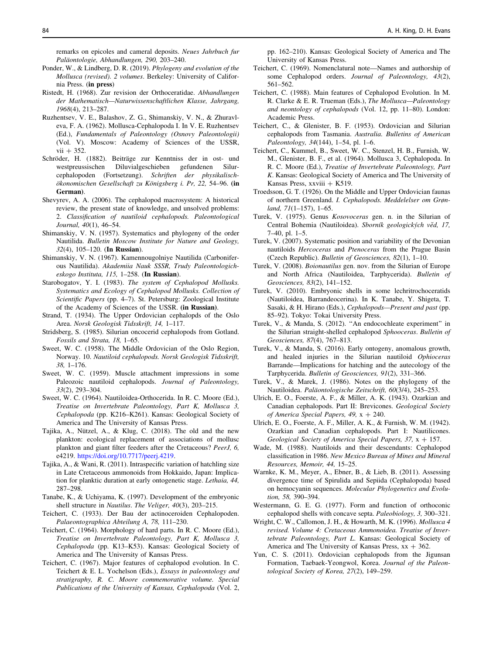<span id="page-19-0"></span>remarks on epicoles and cameral deposits. Neues Jahrbuch fur Paläontologie, Abhandlungen, 290, 203-240.

- Ponder, W., & Lindberg, D. R. (2019). Phylogeny and evolution of the Mollusca (revised). 2 volumes. Berkeley: University of California Press. (in press)
- Ristedt, H. (1968). Zur revision der Orthoceratidae. Abhandlungen der Mathematisch—Naturwissenschaftlichen Klasse, Jahrgang, 1968(4), 213–287.
- Ruzhentsev, V. E., Balashov, Z. G., Shimanskiy, V. N., & Zhuravleva, F. A. (1962). Mollusca-Cephalopoda I. In V. E. Ruzhentsev (Ed.), Fundamentals of Paleontology (Osnovy Paleontologii) (Vol. V). Moscow: Academy of Sciences of the USSR, vii  $+352$ .
- Schröder, H. (1882). Beiträge zur Kenntniss der in ost- und westpreussischen Diluvialgeschieben gefundenen Silurcephalopoden (Fortsetzung). Schriften der physikalischökonomischen Gesellschaft zu Königsberg i. Pr, 22, 54–96. (in German).
- Shevyrev, A. A. (2006). The cephalopod macrosystem: A historical review, the present state of knowledge, and unsolved problems: 2. Classification of nautiloid cephalopods. Paleontological Journal, 40(1), 46–54.
- Shimanskiy, V. N. (1957). Systematics and phylogeny of the order Nautilida. Bulletin Moscow Institute for Nature and Geology, 32(4), 105–120. (In Russian).
- Shimanskiy, V. N. (1967). Kamennougolniye Nautilida (Carboniferous Nautilida). Akademiia Nauk SSSR, Trudy Paleontologicheskogo Instituta, 115, 1–258. (In Russian).
- Starobogatov, Y. I. (1983). The system of Cephalopod Mollusks. Systematics and Ecology of Cephalopod Mollusks. Collection of Scientific Papers (pp. 4–7). St. Petersburg: Zoological Institute of the Academy of Sciences of the USSR. (in Russian).
- Strand, T. (1934). The Upper Ordovician cephalopds of the Oslo Area. Norsk Geologisk Tidsskrift, 14, 1–117.
- Stridsberg, S. (1985). Silurian oncocerid cephalopods from Gotland. Fossils and Strata, 18, 1–65.
- Sweet, W. C. (1958). The Middle Ordovician of the Oslo Region, Norway. 10. Nautiloid cephalopods. Norsk Geologisk Tidsskrift, 38, 1–176.
- Sweet, W. C. (1959). Muscle attachment impressions in some Paleozoic nautiloid cephalopods. Journal of Paleontology, 33(2), 293–304.
- Sweet, W. C. (1964). Nautiloidea-Orthocerida. In R. C. Moore (Ed.), Treatise on Invertebrate Paleontology, Part K, Mollusca 3, Cephalopoda (pp. K216–K261). Kansas: Geological Society of America and The University of Kansas Press.
- Tajika, A., Nützel, A., & Klug, C. (2018). The old and the new plankton: ecological replacement of associations of mollusc plankton and giant filter feeders after the Cretaceous? PeerJ, 6, e4219. [https://doi.org/10.7717/peerj.4219.](https://doi.org/10.7717/peerj.4219)
- Tajika, A., & Wani, R. (2011). Intraspecific variation of hatchling size in Late Cretaceous ammonoids from Hokkaido, Japan: Implication for planktic duration at early ontogenetic stage. Lethaia, 44, 287–298.
- Tanabe, K., & Uchiyama, K. (1997). Development of the embryonic shell structure in Nautilus. The Veliger, 40(3), 203–215.
- Teichert, C. (1933). Der Bau der actinoceroiden Cephalopoden. Palaeontographica Abteilung A, 78, 111–230.
- Teichert, C. (1964). Morphology of hard parts. In R. C. Moore (Ed.), Treatise on Invertebrate Paleontology, Part K, Mollusca 3, Cephalopoda (pp. K13–K53). Kansas: Geological Society of America and The University of Kansas Press.
- Teichert, C. (1967). Major features of cephalopod evolution. In C. Teichert & E. L. Yochelson (Eds.), Essays in paleontology and stratigraphy, R. C. Moore commemorative volume. Special Publications of the University of Kansas, Cephalopoda (Vol. 2,

pp. 162–210). Kansas: Geological Society of America and The University of Kansas Press.

- Teichert, C. (1969). Nomenclatural note—Names and authorship of some Cephalopod orders. Journal of Paleontology, 43(2), 561–562.
- Teichert, C. (1988). Main features of Cephalopod Evolution. In M. R. Clarke & E. R. Trueman (Eds.), The Mollusca—Paleontology and neontology of cephalopods (Vol. 12, pp. 11–80). London: Academic Press.
- Teichert, C., & Glenister, B. F. (1953). Ordovician and Silurian cephalopods from Tasmania. Australia. Bulletins of American Paleontology, 34(144), 1–54, pl. 1–6.
- Teichert, C., Kummel, B., Sweet, W. C., Stenzel, H. B., Furnish, W. M., Glenister, B. F., et al. (1964). Mollusca 3, Cephalopoda. In R. C. Moore (Ed.), Treatise of Invertebrate Paleontology, Part K. Kansas: Geological Society of America and The University of Kansas Press, xxviii  $+$  K519.
- Troedsson, G. T. (1926). On the Middle and Upper Ordovician faunas of northern Greenland. I. Cephalopods. Meddelelser om Grønland, 71(1–157), 1–65.
- Turek, V. (1975). Genus Kosovoceras gen. n. in the Silurian of Central Bohemia (Nautiloidea). Sborník geologických věd, 17, 7–40, pl. 1–5.
- Turek, V. (2007). Systematic position and variability of the Devonian nautiloids Hercoceras and Ptenoceras from the Prague Basin (Czech Republic). Bulletin of Geosciences, 82(1), 1–10.
- Turek, V. (2008). Boionautilus gen. nov. from the Silurian of Europe and North Africa (Nautiloidea, Tarphycerida). Bulletin of Geosciences, 83(2), 141–152.
- Turek, V. (2010). Embryonic shells in some lechritrochoceratids (Nautiloidea, Barrandeocerina). In K. Tanabe, Y. Shigeta, T. Sasaki, & H. Hirano (Eds.), Cephalopods—Present and past (pp. 85–92). Tokyo: Tokai University Press.
- Turek, V., & Manda, S. (2012). ''An endocochleate experiment'' in the Silurian straight-shelled cephalopod Sphooceras. Bulletin of Geosciences, 87(4), 767–813.
- Turek, V., & Manda, S. (2016). Early ontogeny, anomalous growth, and healed injuries in the Silurian nautiloid Ophioceras Barrande—Implications for hatching and the autecology of the Tarphycerida. Bulletin of Geosciences, 91(2), 331–366.
- Turek, V., & Marek, J. (1986). Notes on the phylogeny of the Nautiloidea. Paläontologische Zeitschrift, 60(3/4), 245-253.
- Ulrich, E. O., Foerste, A. F., & Miller, A. K. (1943). Ozarkian and Canadian cephalopods. Part II: Brevicones. Geological Society of America Special Papers, 49,  $x + 240$ .
- Ulrich, E. O., Foerste, A. F., Miller, A. K., & Furnish, W. M. (1942). Ozarkian and Canadian cephalopods. Part I: Nautilicones. Geological Society of America Special Papers, 37,  $x + 157$ .
- Wade, M. (1988). Nautiloids and their descendants: Cephalopod classification in 1986. New Mexico Bureau of Mines and Mineral Resources, Memoir, 44, 15–25.
- Warnke, K. M., Meyer, A., Ebner, B., & Lieb, B. (2011). Assessing divergence time of Spirulida and Sepiida (Cephalopoda) based on hemocyanin sequences. Molecular Phylogenetics and Evolution, 58, 390–394.
- Westermann, G. E. G. (1977). Form and function of orthoconic cephalopod shells with concave septa. Paleobiology, 3, 300–321.
- Wright, C. W., Callomon, J. H., & Howarth, M. K. (1996). Mollusca 4 revised. Volume 4: Cretaceous Ammonoidea. Treatise of Invertebrate Paleontology, Part L. Kansas: Geological Society of America and The University of Kansas Press,  $xx + 362$ .
- Yun, C. S. (2011). Ordovician cephalopods from the Jigunsan Formation, Taebaek-Yeongwol, Korea. Journal of the Paleontological Society of Korea, 27(2), 149–259.